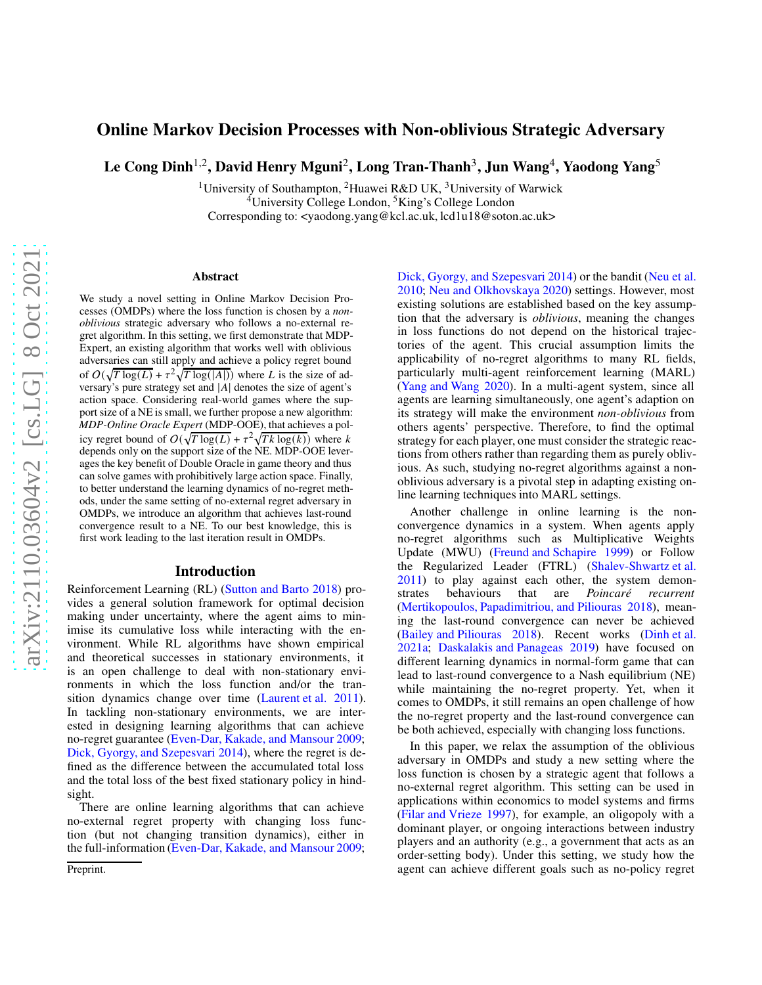# Online Markov Decision Processes with Non-oblivious Strategic Adversary

Le Cong Dinh $^{1,2}$ , David Henry Mguni $^2$ , Long Tran-Thanh $^3$ , Jun Wang $^4$ , Yaodong Yang $^5$ 

<sup>1</sup>University of Southampton, <sup>2</sup>Huawei R&D UK, <sup>3</sup>University of Warwick  $4$ University College London,  $5$ King's College London Corresponding to: <yaodong.yang@kcl.ac.uk, lcd1u18@soton.ac.uk>

#### Abstract

We study a novel setting in Online Markov Decision Processes (OMDPs) where the loss function is chosen by a *nonoblivious* strategic adversary who follows a no-external regret algorithm. In this setting, we first demonstrate that MDP-Expert, an existing algorithm that works well with oblivious adversaries can still apply and achieve a policy regret bound of  $O(\sqrt{T \log(L)} + \tau^2 \sqrt{T \log(|A|)})$  where L is the size of adversary's pure strategy set and  $|A|$  denotes the size of agent's action space. Considering real-world games where the support size of a NE is small, we further propose a new algorithm: *MDP-Online Oracle Expert* (MDP-OOE), that achieves a policy regret bound of  $O(\sqrt{T \log(L)} + \tau^2 \sqrt{Tk \log(k)})$  where k depends only on the support size of the NE. MDP-OOE leverages the key benefit of Double Oracle in game theory and thus can solve games with prohibitively large action space. Finally, to better understand the learning dynamics of no-regret methods, under the same setting of no-external regret adversary in OMDPs, we introduce an algorithm that achieves last-round convergence result to a NE. To our best knowledge, this is first work leading to the last iteration result in OMDPs.

#### Introduction

Reinforcement Learning (RL) [\(Sutton and Barto 2018](#page-8-0)) provides a general solution framework for optimal decision making under uncertainty, where the agent aims to minimise its cumulative loss while interacting with the environment. While RL algorithms have shown empirical and theoretical successes in stationary environments, it is an open challenge to deal with non-stationary environments in which the loss function and/or the transition dynamics change over time [\(Laurent et al. 2011\)](#page-7-0). In tackling non-stationary environments, we are interested in designing learning algorithms that can achieve no-regret guarantee [\(Even-Dar, Kakade, and Mansour 2009;](#page-7-1) [Dick, Gyorgy, and Szepesvari 2014\)](#page-7-2), where the regret is defined as the difference between the accumulated total loss and the total loss of the best fixed stationary policy in hindsight.

There are online learning algorithms that can achieve no-external regret property with changing loss function (but not changing transition dynamics), either in the full-information [\(Even-Dar, Kakade, and Mansour 2009;](#page-7-1) [Dick, Gyorgy, and Szepesvari 2014\)](#page-7-2) or the bandit [\(Neu et al.](#page-7-3) [2010;](#page-7-3) [Neu and Olkhovskaya 2020](#page-7-4)) settings. However, most existing solutions are established based on the key assumption that the adversary is *oblivious*, meaning the changes in loss functions do not depend on the historical trajectories of the agent. This crucial assumption limits the applicability of no-regret algorithms to many RL fields, particularly multi-agent reinforcement learning (MARL) [\(Yang and Wang 2020\)](#page-8-1). In a multi-agent system, since all agents are learning simultaneously, one agent's adaption on its strategy will make the environment *non-oblivious* from others agents' perspective. Therefore, to find the optimal strategy for each player, one must consider the strategic reactions from others rather than regarding them as purely oblivious. As such, studying no-regret algorithms against a nonoblivious adversary is a pivotal step in adapting existing online learning techniques into MARL settings.

Another challenge in online learning is the nonconvergence dynamics in a system. When agents apply no-regret algorithms such as Multiplicative Weights Update (MWU) [\(Freund and Schapire 1999\)](#page-7-5) or Follow the Regularized Leader (FTRL) [\(Shalev-Shwartz et al.](#page-8-2)  $2011$ ) to play against each other, the system demonstrates behaviours that are *Poincaré recurrent* strates behaviours that are *Poincaré recurrent* [\(Mertikopoulos, Papadimitriou, and Piliouras 2018\)](#page-7-6), meaning the last-round convergence can never be achieved [\(Bailey and Piliouras 2018\)](#page-7-7). Recent works [\(Dinh et al.](#page-7-8) [2021a;](#page-7-8) [Daskalakis and Panageas 2019](#page-7-9)) have focused on different learning dynamics in normal-form game that can lead to last-round convergence to a Nash equilibrium (NE) while maintaining the no-regret property. Yet, when it comes to OMDPs, it still remains an open challenge of how the no-regret property and the last-round convergence can be both achieved, especially with changing loss functions.

In this paper, we relax the assumption of the oblivious adversary in OMDPs and study a new setting where the loss function is chosen by a strategic agent that follows a no-external regret algorithm. This setting can be used in applications within economics to model systems and firms [\(Filar and Vrieze 1997](#page-7-10)), for example, an oligopoly with a dominant player, or ongoing interactions between industry players and an authority (e.g., a government that acts as an order-setting body). Under this setting, we study how the agent can achieve different goals such as no-policy regret

Preprint.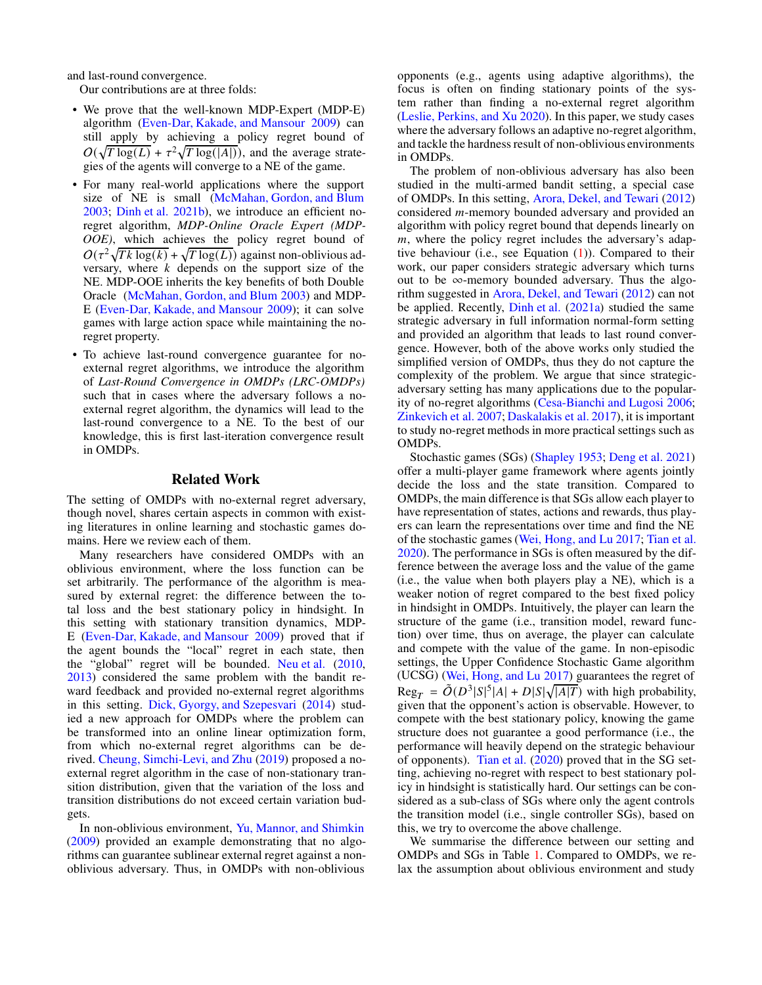and last-round convergence.

Our contributions are at three folds:

- We prove that the well-known MDP-Expert (MDP-E) algorithm [\(Even-Dar, Kakade, and Mansour 2009](#page-7-1)) can still apply by achieving a policy regret bound of  $O(\sqrt{T \log(L)} + \tau^2 \sqrt{T \log(|A|)})$ , and the average strategies of the agents will converge to a NE of the game.
- For many real-world applications where the support size of NE is small [\(McMahan, Gordon, and Blum](#page-7-11) [2003;](#page-7-11) [Dinh et al. 2021b\)](#page-7-12), we introduce an efficient noregret algorithm, *MDP-Online Oracle Expert (MDP-OOE)*, which achieves the policy regret bound of  $O(\tau^2 \sqrt{Tk \log(k)} + \sqrt{T \log(L)})$  against non-oblivious adversary, where  $k$  depends on the support size of the NE. MDP-OOE inherits the key benefits of both Double Oracle [\(McMahan, Gordon, and Blum 2003\)](#page-7-11) and MDP-E [\(Even-Dar, Kakade, and Mansour 2009\)](#page-7-1); it can solve games with large action space while maintaining the noregret property.
- To achieve last-round convergence guarantee for noexternal regret algorithms, we introduce the algorithm of *Last-Round Convergence in OMDPs (LRC-OMDPs)* such that in cases where the adversary follows a noexternal regret algorithm, the dynamics will lead to the last-round convergence to a NE. To the best of our knowledge, this is first last-iteration convergence result in OMDPs.

#### Related Work

The setting of OMDPs with no-external regret adversary, though novel, shares certain aspects in common with existing literatures in online learning and stochastic games domains. Here we review each of them.

Many researchers have considered OMDPs with an oblivious environment, where the loss function can be set arbitrarily. The performance of the algorithm is measured by external regret: the difference between the total loss and the best stationary policy in hindsight. In this setting with stationary transition dynamics, MDP-E [\(Even-Dar, Kakade, and Mansour 2009\)](#page-7-1) proved that if the agent bounds the "local" regret in each state, then the "global" regret will be bounded. [Neu et al.](#page-7-3) [\(2010](#page-7-3), [2013\)](#page-7-13) considered the same problem with the bandit reward feedback and provided no-external regret algorithms in this setting. [Dick, Gyorgy, and Szepesvari](#page-7-2) [\(2014](#page-7-2)) studied a new approach for OMDPs where the problem can be transformed into an online linear optimization form, from which no-external regret algorithms can be derived. [Cheung, Simchi-Levi, and Zhu](#page-7-14) [\(2019\)](#page-7-14) proposed a noexternal regret algorithm in the case of non-stationary transition distribution, given that the variation of the loss and transition distributions do not exceed certain variation budgets.

In non-oblivious environment, [Yu, Mannor, and Shimkin](#page-8-3) [\(2009\)](#page-8-3) provided an example demonstrating that no algorithms can guarantee sublinear external regret against a nonoblivious adversary. Thus, in OMDPs with non-oblivious opponents (e.g., agents using adaptive algorithms), the focus is often on finding stationary points of the system rather than finding a no-external regret algorithm [\(Leslie, Perkins, and Xu 2020\)](#page-7-15). In this paper, we study cases where the adversary follows an adaptive no-regret algorithm, and tackle the hardness result of non-oblivious environments in OMDPs.

The problem of non-oblivious adversary has also been studied in the multi-armed bandit setting, a special case of OMDPs. In this setting, [Arora, Dekel, and Tewari](#page-7-16) [\(2012\)](#page-7-16) considered *m*-memory bounded adversary and provided an algorithm with policy regret bound that depends linearly on  $m$ , where the policy regret includes the adversary's adaptive behaviour (i.e., see Equation [\(1\)](#page-2-0)). Compared to their work, our paper considers strategic adversary which turns out to be ∞-memory bounded adversary. Thus the algorithm suggested in [Arora, Dekel, and Tewari](#page-7-16) [\(2012\)](#page-7-16) can not be applied. Recently, [Dinh et al.](#page-7-8) [\(2021a\)](#page-7-8) studied the same strategic adversary in full information normal-form setting and provided an algorithm that leads to last round convergence. However, both of the above works only studied the simplified version of OMDPs, thus they do not capture the complexity of the problem. We argue that since strategicadversary setting has many applications due to the popularity of no-regret algorithms [\(Cesa-Bianchi and Lugosi 2006](#page-7-17); [Zinkevich et al. 2007;](#page-8-4) [Daskalakis et al. 2017\)](#page-7-18), it is important to study no-regret methods in more practical settings such as OMDPs.

Stochastic games (SGs) [\(Shapley 1953](#page-8-5); [Deng et al. 2021\)](#page-7-19) offer a multi-player game framework where agents jointly decide the loss and the state transition. Compared to OMDPs, the main difference is that SGs allow each player to have representation of states, actions and rewards, thus players can learn the representations over time and find the NE of the stochastic games [\(Wei, Hong, and Lu 2017;](#page-8-6) [Tian et al.](#page-8-7) [2020\)](#page-8-7). The performance in SGs is often measured by the difference between the average loss and the value of the game (i.e., the value when both players play a NE), which is a weaker notion of regret compared to the best fixed policy in hindsight in OMDPs. Intuitively, the player can learn the structure of the game (i.e., transition model, reward function) over time, thus on average, the player can calculate and compete with the value of the game. In non-episodic settings, the Upper Confidence Stochastic Game algorithm (UCSG) [\(Wei, Hong, and Lu 2017](#page-8-6)) guarantees the regret of  $\text{Reg}_T = \tilde{O}(D^3 |S|^5 |A| + D |S| \sqrt{|A|T})$  with high probability, given that the opponent's action is observable. However, to compete with the best stationary policy, knowing the game structure does not guarantee a good performance (i.e., the performance will heavily depend on the strategic behaviour of opponents). [Tian et al.](#page-8-7) [\(2020\)](#page-8-7) proved that in the SG setting, achieving no-regret with respect to best stationary policy in hindsight is statistically hard. Our settings can be considered as a sub-class of SGs where only the agent controls the transition model (i.e., single controller SGs), based on this, we try to overcome the above challenge.

We summarise the difference between our setting and OMDPs and SGs in Table [1.](#page-2-1) Compared to OMDPs, we relax the assumption about oblivious environment and study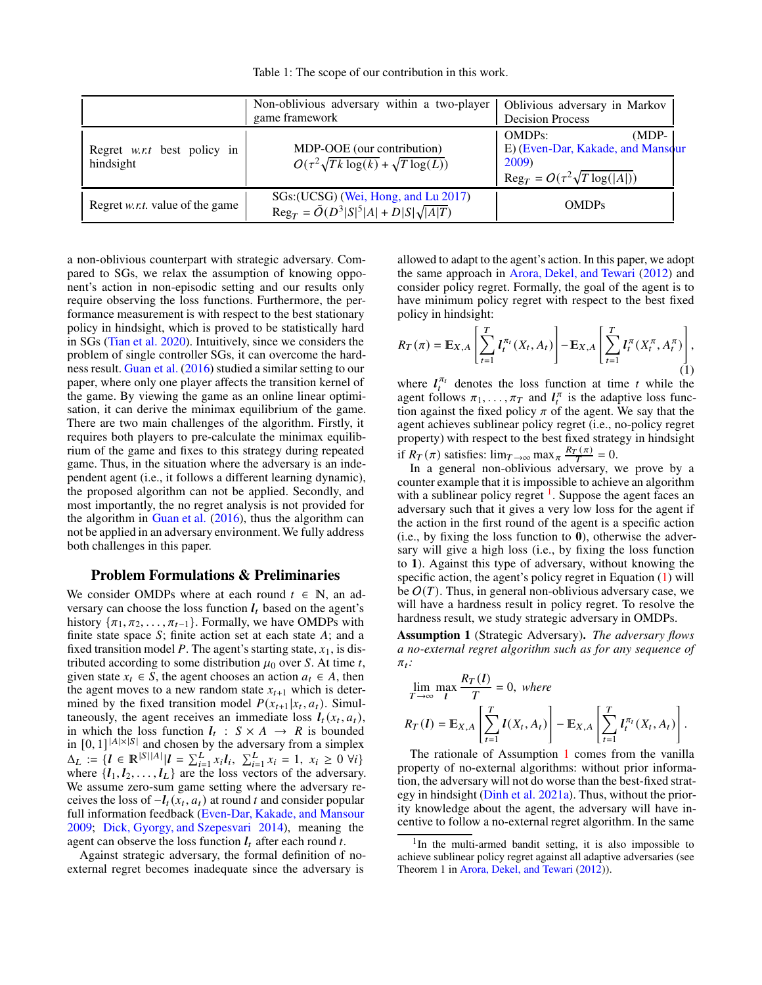Table 1: The scope of our contribution in this work.

<span id="page-2-1"></span>

|                                                 | Non-oblivious adversary within a two-player<br>game framework                                           | Oblivious adversary in Markov<br><b>Decision Process</b>                                                                |
|-------------------------------------------------|---------------------------------------------------------------------------------------------------------|-------------------------------------------------------------------------------------------------------------------------|
| Regret <i>w.r.t</i> best policy in<br>hindsight | MDP-OOE (our contribution)<br>$O(\tau^2 \sqrt{Tk \log(k)} + \sqrt{T \log(L)})$                          | <b>OMDPs:</b><br>$(MDP-$<br>E) (Even-Dar, Kakade, and Mansour<br>2009)<br>$\text{Reg}_T = O(\tau^2 \sqrt{T \log( A )})$ |
| Regret <i>w.r.t.</i> value of the game          | SGs: (UCSG) (Wei, Hong, and Lu 2017)<br>$\text{Reg}_{T} = \tilde{O}(D^{3} S ^{5} A  + D S \sqrt{ A T})$ | <b>OMDPs</b>                                                                                                            |

a non-oblivious counterpart with strategic adversary. Compared to SGs, we relax the assumption of knowing opponent's action in non-episodic setting and our results only require observing the loss functions. Furthermore, the performance measurement is with respect to the best stationary policy in hindsight, which is proved to be statistically hard in SGs [\(Tian et al. 2020](#page-8-7)). Intuitively, since we considers the problem of single controller SGs, it can overcome the hardness result. [Guan et al.](#page-7-20) [\(2016\)](#page-7-20) studied a similar setting to our paper, where only one player affects the transition kernel of the game. By viewing the game as an online linear optimisation, it can derive the minimax equilibrium of the game. There are two main challenges of the algorithm. Firstly, it requires both players to pre-calculate the minimax equilibrium of the game and fixes to this strategy during repeated game. Thus, in the situation where the adversary is an independent agent (i.e., it follows a different learning dynamic), the proposed algorithm can not be applied. Secondly, and most importantly, the no regret analysis is not provided for the algorithm in [Guan et al.](#page-7-20) [\(2016\)](#page-7-20), thus the algorithm can not be applied in an adversary environment.We fully address both challenges in this paper.

## Problem Formulations & Preliminaries

We consider OMDPs where at each round  $t \in \mathbb{N}$ , an adversary can choose the loss function  $l_t$  based on the agent's history  $\{\pi_1, \pi_2, \ldots, \pi_{t-1}\}.$  Formally, we have OMDPs with finite state space  $S$ ; finite action set at each state  $A$ ; and a fixed transition model  $P$ . The agent's starting state,  $x_1$ , is distributed according to some distribution  $\mu_0$  over S. At time t, given state  $x_t \in S$ , the agent chooses an action  $a_t \in A$ , then the agent moves to a new random state  $x_{t+1}$  which is determined by the fixed transition model  $P(x_{t+1} | x_t, a_t)$ . Simultaneously, the agent receives an immediate loss  $I_t(x_t, a_t)$ , in which the loss function  $l_t$ :  $S \times A \rightarrow R$  is bounded in  $[0, 1]^{ |A| \times |S| }$  and chosen by the adversary from a simplex  $\Delta_L := \{ l \in \mathbb{R}^{|S||A|} | l = \sum_{i=1}^L x_i l_i, \sum_{i=1}^L x_i = 1, x_i \ge 0 \ \forall i \}$ where  $\{l_1, l_2, \ldots, l_L\}$  are the loss vectors of the adversary. We assume zero-sum game setting where the adversary receives the loss of  $-I_t(x_t, a_t)$  at round t and consider popular full information feedback [\(Even-Dar, Kakade, and Mansour](#page-7-1) [2009;](#page-7-1) [Dick, Gyorgy, and Szepesvari 2014\)](#page-7-2), meaning the agent can observe the loss function  $l_t$  after each round  $t$ .

Against strategic adversary, the formal definition of noexternal regret becomes inadequate since the adversary is

allowed to adapt to the agent's action. In this paper, we adopt the same approach in [Arora, Dekel, and Tewari](#page-7-16) [\(2012](#page-7-16)) and consider policy regret. Formally, the goal of the agent is to have minimum policy regret with respect to the best fixed policy in hindsight:

<span id="page-2-0"></span>
$$
R_T(\pi) = \mathbb{E}_{X,A} \left[ \sum_{t=1}^T l_t^{\pi_t}(X_t, A_t) \right] - \mathbb{E}_{X,A} \left[ \sum_{t=1}^T l_t^{\pi}(X_t^{\pi}, A_t^{\pi}) \right],
$$
(1)

where  $l_t^{\pi_t}$  denotes the loss function at time t while the agent follows  $\pi_1, \ldots, \pi_T$  and  $l_t^{\pi}$  is the adaptive loss function against the fixed policy  $\pi$  of the agent. We say that the agent achieves sublinear policy regret (i.e., no-policy regret property) with respect to the best fixed strategy in hindsight if  $R_T(\pi)$  satisfies:  $\lim_{T \to \infty} \max_{\pi} \frac{R_T(\pi)}{T} = 0$ .

In a general non-oblivious adversary, we prove by a counter example that it is impossible to achieve an algorithm with a sublinear policy regret  $<sup>1</sup>$  $<sup>1</sup>$  $<sup>1</sup>$ . Suppose the agent faces an</sup> adversary such that it gives a very low loss for the agent if the action in the first round of the agent is a specific action (i.e., by fixing the loss function to **0**), otherwise the adversary will give a high loss (i.e., by fixing the loss function to **1**). Against this type of adversary, without knowing the specific action, the agent's policy regret in Equation [\(1\)](#page-2-0) will be  $O(T)$ . Thus, in general non-oblivious adversary case, we will have a hardness result in policy regret. To resolve the hardness result, we study strategic adversary in OMDPs.

<span id="page-2-3"></span>Assumption 1 (Strategic Adversary). *The adversary flows a no-external regret algorithm such as for any sequence of*  $\pi_t$ :

$$
\lim_{T \to \infty} \max_{l} \frac{R_T(l)}{T} = 0, \text{ where}
$$
\n
$$
R_T(l) = \mathbb{E}_{X,A} \left[ \sum_{t=1}^{T} l(X_t, A_t) \right] - \mathbb{E}_{X,A} \left[ \sum_{t=1}^{T} l_t^{\pi_t}(X_t, A_t) \right].
$$

The rationale of Assumption [1](#page-2-3) comes from the vanilla property of no-external algorithms: without prior information, the adversary will not do worse than the best-fixed strategy in hindsight [\(Dinh et al. 2021a](#page-7-8)). Thus, without the priority knowledge about the agent, the adversary will have incentive to follow a no-external regret algorithm. In the same

<span id="page-2-2"></span><sup>&</sup>lt;sup>1</sup>In the multi-armed bandit setting, it is also impossible to achieve sublinear policy regret against all adaptive adversaries (see Theorem 1 in [Arora, Dekel, and Tewari](#page-7-16) [\(2012\)](#page-7-16)).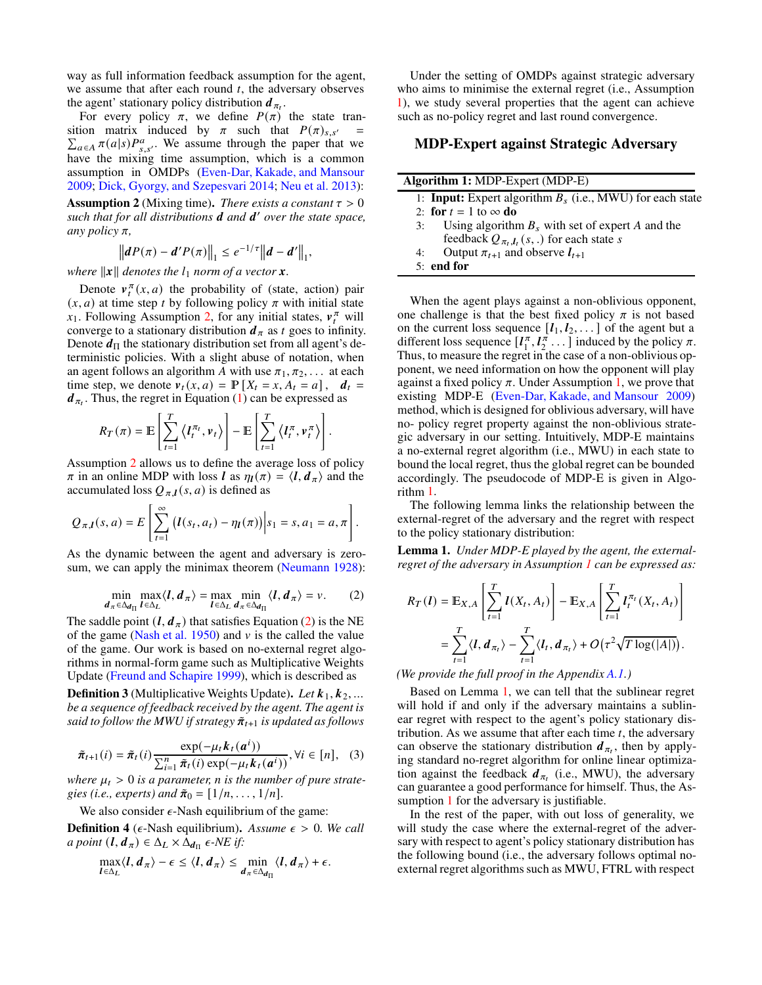way as full information feedback assumption for the agent, we assume that after each round  $t$ , the adversary observes the agent' stationary policy distribution  $d_{\pi_t}$ .

For every policy  $\pi$ , we define  $P(\pi)$  the state tran-<br>sition matrix induced by  $\pi$  such that  $P(\pi)_{s,s'} =$ sition matrix induced by  $\pi$  such that  $P(\pi)_{s,s'} = \sum_{a \in A} \pi(a|s) P_{s,s'}^a$ . We assume through the paper that we have the mixing time assumption, which is a common assumption in OMDPs [\(Even-Dar, Kakade, and Mansour](#page-7-1) [2009;](#page-7-1) [Dick, Gyorgy, and Szepesvari 2014;](#page-7-2) [Neu et al. 2013\)](#page-7-13): **Assumption 2** (Mixing time). *There exists a constant*  $\tau > 0$ 

<span id="page-3-0"></span>such that for all distributions **d** and **d'** over the state space, *any policy*  $\pi$ *,* 

$$
||dP(\pi) - d'P(\pi)||_1 \leq e^{-1/\tau}||d - d'||_1,
$$

*where*  $\|\mathbf{x}\|$  *denotes the*  $l_1$  *norm of a vector*  $\mathbf{x}$ *.* 

Denote  $v_t^{\pi}(x, a)$  the probability of (state, action) pair  $(x, a)$  at time step *t* by following policy  $\pi$  with initial state  $x_1$ . Following Assumption [2,](#page-3-0) for any initial states,  $v_t^{\pi}$  will converge to a stationary distribution  $d_{\pi}$  as t goes to infinity. Denote  $d_{\Pi}$  the stationary distribution set from all agent's deterministic policies. With a slight abuse of notation, when an agent follows an algorithm A with use  $\pi_1, \pi_2, \ldots$  at each time step, we denote  $v_t(x, a) = \mathbb{P}[X_t = x, A_t = a], d_t =$  $d_{\pi_t}$ . Thus, the regret in Equation [\(1\)](#page-2-0) can be expressed as

$$
R_T(\pi) = \mathbb{E}\left[\sum_{t=1}^T \left\langle I_t^{\pi_t}, v_t \right\rangle\right] - \mathbb{E}\left[\sum_{t=1}^T \left\langle I_t^{\pi}, v_t^{\pi} \right\rangle\right].
$$

Assumption [2](#page-3-0) allows us to define the average loss of policy  $\pi$  in an online MDP with loss *l* as  $\eta_l(\pi) = \langle l, d_\pi \rangle$  and the accumulated loss  $Q_{\pi,l}(s, a)$  is defined as

$$
Q_{\pi,\mathbf{I}}(s,a) = E\left[\sum_{t=1}^{\infty} \left(\mathbf{I}(s_t,a_t) - \eta_{\mathbf{I}}(\pi)\right) \middle| s_1 = s, a_1 = a, \pi\right].
$$

<span id="page-3-1"></span>As the dynamic between the agent and adversary is zero-sum, we can apply the minimax theorem [\(Neumann 1928\)](#page-7-21):

$$
\min_{d_{\pi} \in \Delta_{d_{\Pi}}} \max_{l \in \Delta_{L}} \langle l, d_{\pi} \rangle = \max_{l \in \Delta_{L}} \min_{d_{\pi} \in \Delta_{d_{\Pi}}} \langle l, d_{\pi} \rangle = \nu.
$$
 (2)

The saddle point  $(l, d_\pi)$  that satisfies Equation [\(2\)](#page-3-1) is the NE of the game [\(Nash et al. 1950\)](#page-7-22) and  $v$  is the called the value of the game. Our work is based on no-external regret algorithms in normal-form game such as Multiplicative Weights Update [\(Freund and Schapire 1999\)](#page-7-5), which is described as

**Definition 3** (Multiplicative Weights Update). Let  $k_1, k_2, ...$ *be a sequence of feedback received by the agent. The agent is said to follow the MWU if strategy*  $\tilde{\pi}_{t+1}$  *is updated as follows* 

$$
\tilde{\pi}_{t+1}(i) = \tilde{\pi}_t(i) \frac{\exp(-\mu_t k_t(a^i))}{\sum_{i=1}^n \tilde{\pi}_t(i) \exp(-\mu_t k_t(a^i))}, \forall i \in [n], \quad (3)
$$

where  $\mu_t > 0$  *is a parameter, n is the number of pure strategies (i.e., experts) and*  $\tilde{\pi}_0 = [1/n, ..., 1/n]$ .

We also consider  $\epsilon$ -Nash equilibrium of the game:

**Definition 4** ( $\epsilon$ -Nash equilibrium). Assume  $\epsilon > 0$ . We call  $a$  point  $(l, d_\pi) \in \Delta_L \times \Delta_{d_\Pi} \epsilon$ -NE if:

$$
\max_{l \in \Delta_L} \langle l, d_\pi \rangle - \epsilon \le \langle l, d_\pi \rangle \le \min_{d_\pi \in \Delta_{d_\Pi}} \langle l, d_\pi \rangle + \epsilon.
$$

Under the setting of OMDPs against strategic adversary who aims to minimise the external regret (i.e., Assumption [1\)](#page-2-3), we study several properties that the agent can achieve such as no-policy regret and last round convergence.

# MDP-Expert against Strategic Adversary

<span id="page-3-2"></span>

|    | <b>Algorithm 1: MDP-Expert (MDP-E)</b>                             |
|----|--------------------------------------------------------------------|
|    | 1: <b>Input:</b> Expert algorithm $B_s$ (i.e., MWU) for each state |
|    | 2: for $t = 1$ to $\infty$ do                                      |
| 3: | Using algorithm $B_s$ with set of expert A and the                 |
|    | feedback $Q_{\pi_t, l_t}(s,.)$ for each state s                    |
| 4: | Output $\pi_{t+1}$ and observe $l_{t+1}$                           |
|    | $5:$ end for                                                       |

When the agent plays against a non-oblivious opponent, one challenge is that the best fixed policy  $\pi$  is not based on the current loss sequence  $[I_1, I_2, \dots]$  of the agent but a different loss sequence  $[I_1^{\pi}, I_2^{\pi} \dots]$  induced by the policy  $\pi$ . Thus, to measure the regret in the case of a non-oblivious opponent, we need information on how the opponent will play against a fixed policy  $\pi$ . Under Assumption [1,](#page-2-3) we prove that existing MDP-E [\(Even-Dar, Kakade, and Mansour 2009\)](#page-7-1) method, which is designed for oblivious adversary, will have no- policy regret property against the non-oblivious strategic adversary in our setting. Intuitively, MDP-E maintains a no-external regret algorithm (i.e., MWU) in each state to bound the local regret, thus the global regret can be bounded accordingly. The pseudocode of MDP-E is given in Algorithm [1.](#page-3-2)

The following lemma links the relationship between the external-regret of the adversary and the regret with respect to the policy stationary distribution:

<span id="page-3-3"></span>Lemma 1. *Under MDP-E played by the agent, the externalregret of the adversary in Assumption [1](#page-2-3) can be expressed as:*

$$
R_T\left(\boldsymbol{I}\right) = \mathbb{E}_{X,A}\left[\sum_{t=1}^T \boldsymbol{I}(X_t, A_t)\right] - \mathbb{E}_{X,A}\left[\sum_{t=1}^T \boldsymbol{I}_t^{\pi_t}(X_t, A_t)\right]
$$
  
= 
$$
\sum_{t=1}^T \langle \boldsymbol{I}, \boldsymbol{d}_{\pi_t} \rangle - \sum_{t=1}^T \langle \boldsymbol{I}_t, \boldsymbol{d}_{\pi_t} \rangle + O\left(\tau^2 \sqrt{T \log(|A|)}\right).
$$

*(We provide the full proof in the Appendix A.1.)*

Based on Lemma [1,](#page-3-3) we can tell that the sublinear regret will hold if and only if the adversary maintains a sublinear regret with respect to the agent's policy stationary distribution. As we assume that after each time  $t$ , the adversary can observe the stationary distribution  $d_{\pi_t}$ , then by applying standard no-regret algorithm for online linear optimization against the feedback  $d_{\pi_t}$  (i.e., MWU), the adversary can guarantee a good performance for himself. Thus, the As-sumption [1](#page-2-3) for the adversary is justifiable.

In the rest of the paper, with out loss of generality, we will study the case where the external-regret of the adversary with respect to agent's policy stationary distribution has the following bound (i.e., the adversary follows optimal noexternal regret algorithms such as MWU, FTRL with respect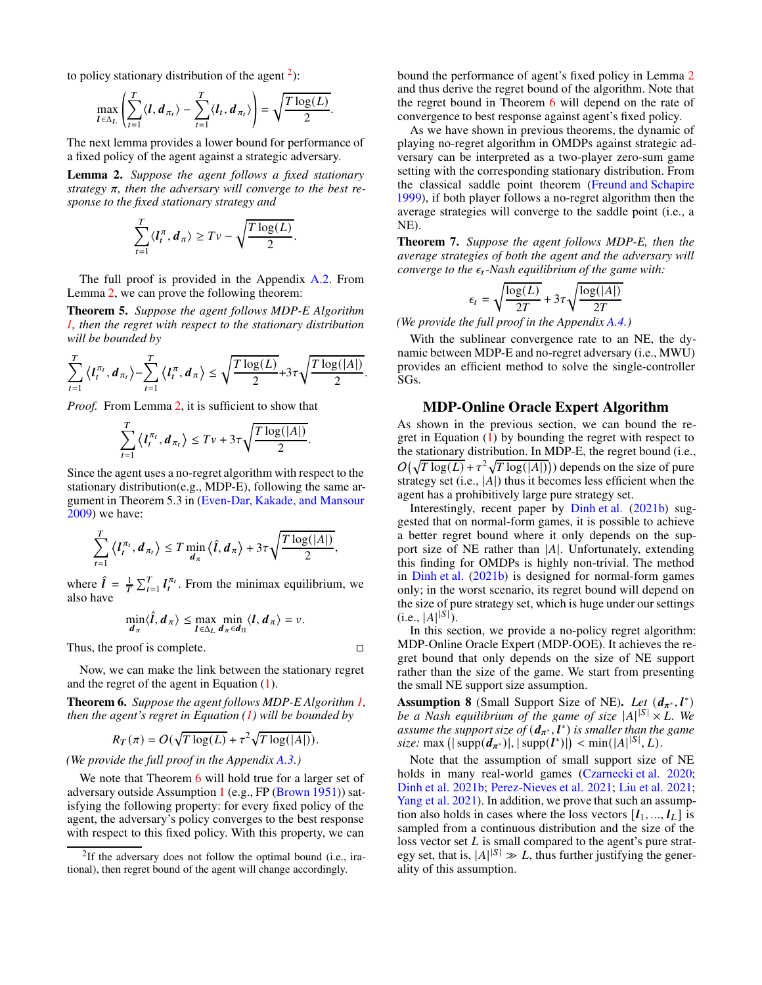to policy stationary distribution of the agent  $2$ ):

$$
\max_{\mathbf{I} \in \Delta_L} \left( \sum_{t=1}^T \langle \mathbf{I}, \mathbf{d}_{\pi_t} \rangle - \sum_{t=1}^T \langle \mathbf{I}_t, \mathbf{d}_{\pi_t} \rangle \right) = \sqrt{\frac{T \log(L)}{2}}
$$

.

The next lemma provides a lower bound for performance of a fixed policy of the agent against a strategic adversary.

<span id="page-4-1"></span>Lemma 2. *Suppose the agent follows a fixed stationary*  $strategy \pi$ , then the adversary will converge to the best re*sponse to the fixed stationary strategy and*

$$
\sum_{t=1}^T \langle I_t^{\pi}, \boldsymbol{d}_{\pi} \rangle \geq T v - \sqrt{\frac{T \log(L)}{2}}.
$$

The full proof is provided in the Appendix A.2. From Lemma [2,](#page-4-1) we can prove the following theorem:

Theorem 5. *Suppose the agent follows MDP-E Algorithm [1,](#page-3-2) then the regret with respect to the stationary distribution will be bounded by*

$$
\sum_{t=1}^T \left\langle I_t^{\pi_t}, \boldsymbol{d}_{\pi_t} \right\rangle - \sum_{t=1}^T \left\langle I_t^{\pi}, \boldsymbol{d}_{\pi} \right\rangle \leq \sqrt{\frac{T \log(L)}{2}} + 3\tau \sqrt{\frac{T \log(|A|)}{2}}.
$$

*Proof.* From Lemma [2,](#page-4-1) it is sufficient to show that

$$
\sum_{t=1}^T \left\langle I_t^{\pi_t}, \boldsymbol{d}_{\pi_t} \right\rangle \leq T v + 3\tau \sqrt{\frac{T \log(|A|)}{2}}.
$$

Since the agent uses a no-regret algorithm with respect to the stationary distribution(e.g., MDP-E), following the same argument in Theorem 5.3 in [\(Even-Dar, Kakade, and Mansour](#page-7-1) [2009\)](#page-7-1) we have:

$$
\sum_{t=1}^T \langle l_t^{\pi_t}, d_{\pi_t} \rangle \leq T \min_{d_{\pi}} \langle \hat{l}, d_{\pi} \rangle + 3\tau \sqrt{\frac{T \log(|A|)}{2}},
$$

where  $\hat{l} = \frac{1}{T} \sum_{t=1}^{T} l_t^{\pi_t}$ . From the minimax equilibrium, we also have

$$
\min_{d_{\pi}} \langle \hat{l}, d_{\pi} \rangle \leq \max_{l \in \Delta_L} \min_{d_{\pi} \in d_{\Pi}} \langle l, d_{\pi} \rangle = v.
$$

Thus, the proof is complete.

Now, we can make the link between the stationary regret and the regret of the agent in Equation [\(1\)](#page-2-0).

<span id="page-4-2"></span>Theorem 6. *Suppose the agent follows MDP-E Algorithm [1,](#page-3-2) then the agent's regret in Equation [\(1\)](#page-2-0) will be bounded by*

$$
R_T(\pi) = O(\sqrt{T \log(L)} + \tau^2 \sqrt{T \log(|A|)}).
$$

*(We provide the full proof in the Appendix A.3.)*

We note that Theorem [6](#page-4-2) will hold true for a larger set of adversary outside Assumption [1](#page-2-3) (e.g., FP [\(Brown 1951\)](#page-7-23)) satisfying the following property: for every fixed policy of the agent, the adversary's policy converges to the best response with respect to this fixed policy. With this property, we can

bound the performance of agent's fixed policy in Lemma [2](#page-4-1) and thus derive the regret bound of the algorithm. Note that the regret bound in Theorem [6](#page-4-2) will depend on the rate of convergence to best response against agent's fixed policy.

As we have shown in previous theorems, the dynamic of playing no-regret algorithm in OMDPs against strategic adversary can be interpreted as a two-player zero-sum game setting with the corresponding stationary distribution. From the classical saddle point theorem [\(Freund and Schapire](#page-7-5) [1999\)](#page-7-5), if both player follows a no-regret algorithm then the average strategies will converge to the saddle point (i.e., a NE).

<span id="page-4-4"></span>Theorem 7. *Suppose the agent follows MDP-E, then the average strategies of both the agent and the adversary will converge to the*  $\epsilon_t$ -Nash equilibrium of the game with:

$$
\epsilon_t = \sqrt{\frac{\log(L)}{2T}} + 3\tau\sqrt{\frac{\log(|A|)}{2T}}
$$

*(We provide the full proof in the Appendix A.4.)*

With the sublinear convergence rate to an NE, the dynamic between MDP-E and no-regret adversary (i.e., MWU) provides an efficient method to solve the single-controller SGs.

## MDP-Online Oracle Expert Algorithm

As shown in the previous section, we can bound the regret in Equation [\(1\)](#page-2-0) by bounding the regret with respect to the stationary distribution. In MDP-E, the regret bound (i.e.,  $O(\sqrt{T \log(L)} + \tau^2 \sqrt{T \log(|A|)})$  depends on the size of pure strategy set (i.e.,  $|A|$ ) thus it becomes less efficient when the agent has a prohibitively large pure strategy set.

Interestingly, recent paper by [Dinh et al.](#page-7-12) [\(2021b](#page-7-12)) suggested that on normal-form games, it is possible to achieve a better regret bound where it only depends on the support size of NE rather than  $|A|$ . Unfortunately, extending this finding for OMDPs is highly non-trivial. The method in [Dinh et al.](#page-7-12) [\(2021b](#page-7-12)) is designed for normal-form games only; in the worst scenario, its regret bound will depend on the size of pure strategy set, which is huge under our settings  $(i.e., |A|^{|S|}).$ 

In this section, we provide a no-policy regret algorithm: MDP-Online Oracle Expert (MDP-OOE). It achieves the regret bound that only depends on the size of NE support rather than the size of the game. We start from presenting the small NE support size assumption.

<span id="page-4-3"></span>Assumption 8 (Small Support Size of NE). *Let*  $(d_{\pi^*}, l^*)$ *be a Nash equilibrium of the game of size*  $|A|^{|S|} \times L$ *. We assume the support size of*  $(d_{\pi^*}, l^*)$  *is smaller than the game*  $size: \max(|\text{supp}(d_{\pi^*})|, |\text{supp}(l^*)|) < \min(|A|^{|S|}, L).$ 

Note that the assumption of small support size of NE holds in many real-world games [\(Czarnecki et al. 2020](#page-7-24); [Dinh et al. 2021b](#page-7-12); [Perez-Nieves et al. 2021](#page-8-8); [Liu et al. 2021](#page-7-25); [Yang et al. 2021\)](#page-8-9). In addition, we prove that such an assumption also holds in cases where the loss vectors  $[l_1, ..., l_L]$  is sampled from a continuous distribution and the size of the loss vector set  $L$  is small compared to the agent's pure strategy set, that is,  $|A|^{|S|} \gg L$ , thus further justifying the generality of this assumption.

<span id="page-4-0"></span><sup>&</sup>lt;sup>2</sup>If the adversary does not follow the optimal bound (i.e., irational), then regret bound of the agent will change accordingly.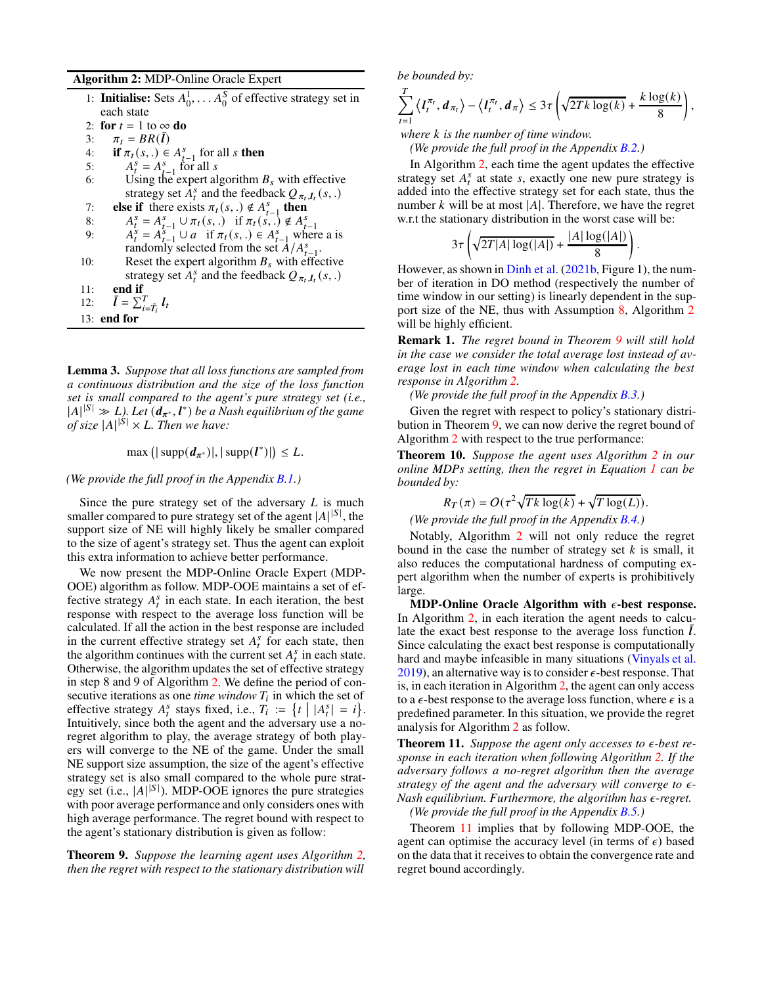#### Algorithm 2: MDP-Online Oracle Expert

<span id="page-5-0"></span>

| 1: Initialise: Sets $A_0^1, \ldots, A_0^S$ of effective strategy set in |  |  |
|-------------------------------------------------------------------------|--|--|
| each state                                                              |  |  |
| 2: for $t = 1$ to $\infty$ do                                           |  |  |
| 3: $\pi_t = BR(I)$                                                      |  |  |
| $\Lambda$ if $\pi$ (c) $\subset \Lambda^S$ for all ethen                |  |  |

- 4: if  $\pi_t(s,.) \in A_{t-1}^s$  for all s then
- $\begin{array}{ll}\n\text{4:} & \text{if } n_f(s, t) \in \{1, 1\} \\
\text{5:} & A_t^s = A_{s-1}^s \text{ for all } s \\
\text{6:} & \text{Ising the exact} \\
\end{array}$
- 6: Using the expert algorithm  $B_s$  with effective strategy set  $A_t^s$  and the feedback  $Q_{\pi_t, l_t}(s,.)$
- 7: else if there exists  $\pi_t(s,.) \notin A_{t-1}^s$  then
- 8:  $A_t^s = A_{t-1}^s \cup \pi_t(s,.)$  if  $\pi_t(s,.) \notin A_{t-1}^s$ <br>
9:  $A_t^s = A_{t-1}^{s} \cup \pi_t(s,.)$  if  $\pi_t(s,.) \notin A_{t-1}^s$ <br>  $\pi_t(s,.) \notin A_{t-1}^s$  where a is
- randomly selected from the set  $A/A_{-1}^s$ .
- 10: Reset the expert algorithm  $B_s$  with effective strategy set  $\hat{A}_t^s$  and the feedback  $Q_{\pi_t, l_t}(s,.)$
- 11: end if
- 12:  $\bar{l} = \sum_{i=\bar{T}_i}^{T} l_i$
- 13: end for

<span id="page-5-3"></span>Lemma 3. *Suppose that all loss functions are sampled from a continuous distribution and the size of the loss function set is small compared to the agent's pure strategy set (i.e.,*  $|A|^{|S|} \gg L$ . Let  $(d_{\pi^*}, l^*)$  be a Nash equilibrium of the game *of size*  $|A|^{|\mathcal{S}|} \times L$ *. Then we have:* 

 $max (|\operatorname{supp}(d_{\pi^*})|, |\operatorname{supp}(l^*)|) \leq L.$ 

#### *(We provide the full proof in the Appendix B.1.)*

Since the pure strategy set of the adversary  $L$  is much smaller compared to pure strategy set of the agent  $|A|^{|S|}$ , the support size of NE will highly likely be smaller compared to the size of agent's strategy set. Thus the agent can exploit this extra information to achieve better performance.

We now present the MDP-Online Oracle Expert (MDP-OOE) algorithm as follow. MDP-OOE maintains a set of effective strategy  $A_t^s$  in each state. In each iteration, the best response with respect to the average loss function will be calculated. If all the action in the best response are included in the current effective strategy set  $A_t^s$  for each state, then the algorithm continues with the current set  $A_t^s$  in each state. Otherwise, the algorithm updates the set of effective strategy in step 8 and 9 of Algorithm [2.](#page-5-0) We define the period of consecutive iterations as one *time window*  $T_i$  in which the set of effective strategy  $A_t^s$  stays fixed, i.e.,  $T_i := \{t \mid |A_t^s| = i\}.$ Intuitively, since both the agent and the adversary use a noregret algorithm to play, the average strategy of both players will converge to the NE of the game. Under the small NE support size assumption, the size of the agent's effective strategy set is also small compared to the whole pure strategy set (i.e.,  $|A|^{|S|}$ ). MDP-OOE ignores the pure strategies with poor average performance and only considers ones with high average performance. The regret bound with respect to the agent's stationary distribution is given as follow:

<span id="page-5-1"></span>Theorem 9. *Suppose the learning agent uses Algorithm [2,](#page-5-0) then the regret with respect to the stationary distribution will* *be bounded by:*

$$
\sum_{t=1}^T \left\langle \mathbf{I}_t^{\pi_t}, \mathbf{d}_{\pi_t} \right\rangle - \left\langle \mathbf{I}_t^{\pi_t}, \mathbf{d}_{\pi} \right\rangle \leq 3\tau \left( \sqrt{2Tk \log(k)} + \frac{k \log(k)}{8} \right),
$$

*where* 𝑘 *is the number of time window.*

*(We provide the full proof in the Appendix B.2.)*

In Algorithm [2,](#page-5-0) each time the agent updates the effective strategy set  $A_t^s$  at state s, exactly one new pure strategy is added into the effective strategy set for each state, thus the number  $k$  will be at most  $|A|$ . Therefore, we have the regret w.r.t the stationary distribution in the worst case will be:

$$
3\tau \left(\sqrt{2T|A|\log(|A|)} + \frac{|A|\log(|A|)}{8}\right).
$$

However, as shown in [Dinh et al.](#page-7-12) [\(2021b,](#page-7-12) Figure 1), the number of iteration in DO method (respectively the number of time window in our setting) is linearly dependent in the support size of the NE, thus with Assumption [8,](#page-4-3) Algorithm [2](#page-5-0) will be highly efficient.

<span id="page-5-4"></span>Remark 1. *The regret bound in Theorem [9](#page-5-1) will still hold in the case we consider the total average lost instead of average lost in each time window when calculating the best response in Algorithm [2.](#page-5-0)*

*(We provide the full proof in the Appendix B.3.)*

Given the regret with respect to policy's stationary distribution in Theorem [9,](#page-5-1) we can now derive the regret bound of Algorithm [2](#page-5-0) with respect to the true performance:

<span id="page-5-5"></span>Theorem 10. *Suppose the agent uses Algorithm [2](#page-5-0) in our online MDPs setting, then the regret in Equation [1](#page-2-0) can be bounded by:*

$$
R_T(\pi) = O(\tau^2 \sqrt{Tk \log(k)} + \sqrt{T \log(L)}).
$$

*(We provide the full proof in the Appendix B.4.)*

Notably, Algorithm [2](#page-5-0) will not only reduce the regret bound in the case the number of strategy set  $k$  is small, it also reduces the computational hardness of computing expert algorithm when the number of experts is prohibitively large.

MDP-Online Oracle Algorithm with  $\epsilon$ -best response. In Algorithm [2,](#page-5-0) in each iteration the agent needs to calculate the exact best response to the average loss function  $\overline{l}$ . Since calculating the exact best response is computationally hard and maybe infeasible in many situations [\(Vinyals et al.](#page-8-10) [2019\)](#page-8-10), an alternative way is to consider  $\epsilon$ -best response. That is, in each iteration in Algorithm [2,](#page-5-0) the agent can only access to a  $\epsilon$ -best response to the average loss function, where  $\epsilon$  is a predefined parameter. In this situation, we provide the regret analysis for Algorithm [2](#page-5-0) as follow.

<span id="page-5-2"></span>**Theorem 11.** Suppose the agent only accesses to  $\epsilon$ -best re*sponse in each iteration when following Algorithm [2.](#page-5-0) If the adversary follows a no-regret algorithm then the average* strategy of the agent and the adversary will converge to  $\epsilon$ -*Nash equilibrium. Furthermore, the algorithm has*  $\epsilon$ -regret.

*(We provide the full proof in the Appendix B.5.)*

Theorem [11](#page-5-2) implies that by following MDP-OOE, the agent can optimise the accuracy level (in terms of  $\epsilon$ ) based on the data that it receives to obtain the convergence rate and regret bound accordingly.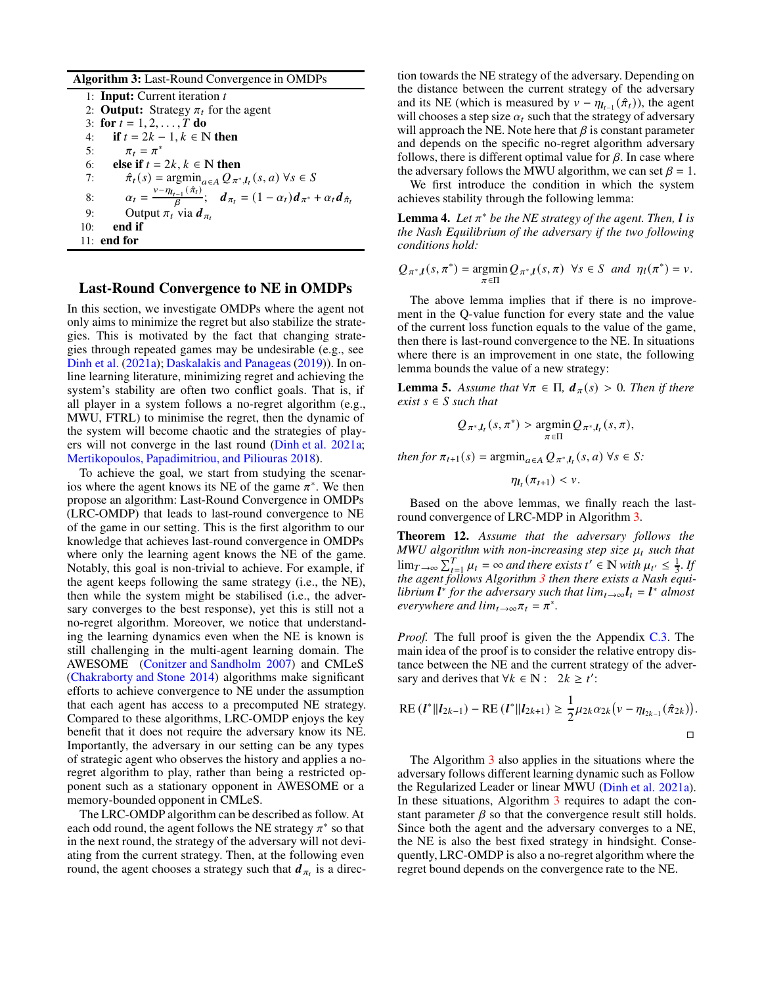Algorithm 3: Last-Round Convergence in OMDPs

<span id="page-6-0"></span>1: **Input:** Current iteration  $t$ 2: **Output:** Strategy  $\pi_t$  for the agent 3: for  $t = 1, 2, ..., T$  do 4: **if**  $t = 2k - 1, k \in \mathbb{N}$  then<br>5:  $\pi_t = \pi^*$ 5:  $\pi_t = \pi^*$ 6: **else if**  $t = 2k$ ,  $k \in \mathbb{N}$  then<br>7:  $\hat{\pi}_t(s) = \operatorname{argmin}_{a \in A} O_{\pi^*}$ 7:  $\hat{\pi}_t(s) = \operatorname*{argmin}_{a \in A} Q_{\pi^*, l_t}(s, a) \,\forall s \in S$ 8:  $\alpha_t = \frac{v - \eta_{t-1}(\hat{\pi}_t)}{\beta}; \quad d_{\pi_t} = (1 - \alpha_t) d_{\pi^*} + \alpha_t d_{\hat{\pi}_t}$ 9: Output  $\pi_t$  via  $d_{\pi_t}$ <br>10: **end if** end if 11: end for

## Last-Round Convergence to NE in OMDPs

In this section, we investigate OMDPs where the agent not only aims to minimize the regret but also stabilize the strategies. This is motivated by the fact that changing strategies through repeated games may be undesirable (e.g., see [Dinh et al.](#page-7-8) [\(2021a\)](#page-7-8); [Daskalakis and Panageas\(2019](#page-7-9))). In online learning literature, minimizing regret and achieving the system's stability are often two conflict goals. That is, if all player in a system follows a no-regret algorithm (e.g., MWU, FTRL) to minimise the regret, then the dynamic of the system will become chaotic and the strategies of players will not converge in the last round [\(Dinh et al. 2021a;](#page-7-8) [Mertikopoulos, Papadimitriou, and Piliouras 2018\)](#page-7-6).

To achieve the goal, we start from studying the scenarios where the agent knows its NE of the game  $\pi^*$ . We then propose an algorithm: Last-Round Convergence in OMDPs (LRC-OMDP) that leads to last-round convergence to NE of the game in our setting. This is the first algorithm to our knowledge that achieves last-round convergence in OMDPs where only the learning agent knows the NE of the game. Notably, this goal is non-trivial to achieve. For example, if the agent keeps following the same strategy (i.e., the NE), then while the system might be stabilised (i.e., the adversary converges to the best response), yet this is still not a no-regret algorithm. Moreover, we notice that understanding the learning dynamics even when the NE is known is still challenging in the multi-agent learning domain. The AWESOME [\(Conitzer and Sandholm 2007](#page-7-26)) and CMLeS [\(Chakraborty and Stone 2014\)](#page-7-27) algorithms make significant efforts to achieve convergence to NE under the assumption that each agent has access to a precomputed NE strategy. Compared to these algorithms, LRC-OMDP enjoys the key benefit that it does not require the adversary know its NE. Importantly, the adversary in our setting can be any types of strategic agent who observes the history and applies a noregret algorithm to play, rather than being a restricted opponent such as a stationary opponent in AWESOME or a memory-bounded opponent in CMLeS.

The LRC-OMDP algorithm can be described as follow. At each odd round, the agent follows the NE strategy  $\pi^*$  so that in the next round, the strategy of the adversary will not deviating from the current strategy. Then, at the following even round, the agent chooses a strategy such that  $d_{\pi_t}$  is a direc-

tion towards the NE strategy of the adversary. Depending on the distance between the current strategy of the adversary and its NE (which is measured by  $v - \eta_{t-1}(\hat{\pi}_t)$ ), the agent will chooses a step size  $\alpha_t$  such that the strategy of adversary will approach the NE. Note here that  $\beta$  is constant parameter and depends on the specific no-regret algorithm adversary follows, there is different optimal value for  $\beta$ . In case where the adversary follows the MWU algorithm, we can set  $\beta = 1$ .

We first introduce the condition in which the system achieves stability through the following lemma:

<span id="page-6-1"></span>**Lemma 4.** Let  $\pi^*$  be the NE strategy of the agent. Then,  $\boldsymbol{l}$  is *the Nash Equilibrium of the adversary if the two following conditions hold:*

$$
Q_{\pi^*,l}(s,\pi^*) = \underset{\pi \in \Pi}{\text{argmin}} Q_{\pi^*,l}(s,\pi) \ \ \forall s \in S \ \ and \ \ \eta_l(\pi^*) = \nu.
$$

The above lemma implies that if there is no improvement in the Q-value function for every state and the value of the current loss function equals to the value of the game, then there is last-round convergence to the NE. In situations where there is an improvement in one state, the following lemma bounds the value of a new strategy:

<span id="page-6-2"></span>**Lemma 5.** Assume that  $\forall \pi \in \Pi$ ,  $d_{\pi}(s) > 0$ . Then if there  $exist s \in S such that$ 

$$
Q_{\pi^*,I_t}(s,\pi^*) > \underset{\pi \in \Pi}{\text{argmin}} Q_{\pi^*,I_t}(s,\pi),
$$

*then for*  $\pi_{t+1}(s) = \operatorname{argmin}_{a \in A} Q_{\pi^*, t}$ ,  $(s, a) \forall s \in S$ .

 $\eta_{l_t}(\pi_{t+1}) < \nu.$ 

Based on the above lemmas, we finally reach the lastround convergence of LRC-MDP in Algorithm [3.](#page-6-0)

<span id="page-6-3"></span>Theorem 12. *Assume that the adversary follows the MWU algorithm with non-increasing step size*  $\mu_t$  *such that*  $\lim_{T \to \infty} \sum_{t=1}^{T} \mu_t = \infty$  *and there exists*  $t' \in \mathbb{N}$  *with*  $\mu_{t'} \leq \frac{1}{3}$ . If *the agent follows Algorithm [3](#page-6-0) then there exists a Nash equilibrium*  $\mathbf{l}^*$  *for the adversary such that*  $\lim_{t\to\infty} \mathbf{l}_t = \mathbf{l}^*$  almost *everywhere and*  $\lim_{t\to\infty} \pi_t = \pi^*$ *.* 

*Proof.* The full proof is given the the Appendix C.3. The main idea of the proof is to consider the relative entropy distance between the NE and the current strategy of the adversary and derives that  $\forall k \in \mathbb{N} : 2k \geq t'$ :

RE 
$$
(l^*||l_{2k-1}) - RE (l^*||l_{2k+1}) \ge \frac{1}{2} \mu_{2k} \alpha_{2k} (v - \eta_{l_{2k-1}}(\hat{\pi}_{2k})).
$$

The Algorithm [3](#page-6-0) also applies in the situations where the adversary follows different learning dynamic such as Follow the Regularized Leader or linear MWU [\(Dinh et al. 2021a\)](#page-7-8). In these situations, Algorithm [3](#page-6-0) requires to adapt the constant parameter  $\beta$  so that the convergence result still holds. Since both the agent and the adversary converges to a NE, the NE is also the best fixed strategy in hindsight. Consequently, LRC-OMDP is also a no-regret algorithm where the regret bound depends on the convergence rate to the NE.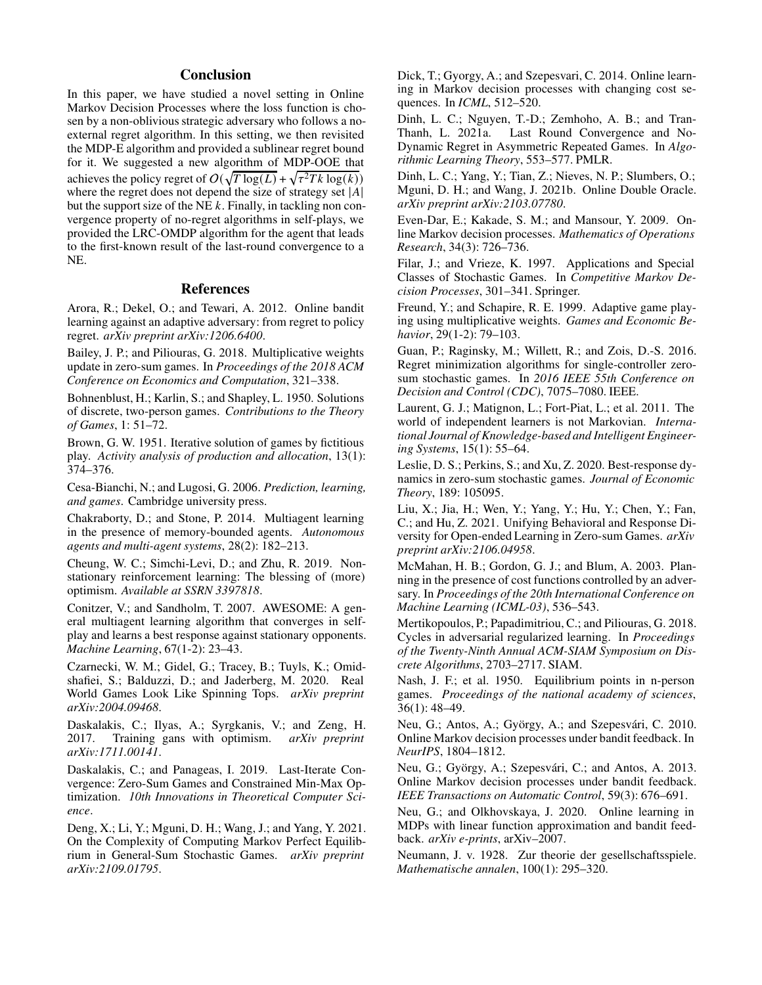# **Conclusion**

In this paper, we have studied a novel setting in Online Markov Decision Processes where the loss function is chosen by a non-oblivious strategic adversary who follows a noexternal regret algorithm. In this setting, we then revisited the MDP-E algorithm and provided a sublinear regret bound for it. We suggested a new algorithm of MDP-OOE that achieves the policy regret of  $O(\sqrt{T \log(L)} + \sqrt{\tau^2 T k \log(k)})$ where the regret does not depend the size of strategy set  $|A|$ but the support size of the NE  $k$ . Finally, in tackling non convergence property of no-regret algorithms in self-plays, we provided the LRC-OMDP algorithm for the agent that leads to the first-known result of the last-round convergence to a NE.

## References

<span id="page-7-16"></span>Arora, R.; Dekel, O.; and Tewari, A. 2012. Online bandit learning against an adaptive adversary: from regret to policy regret. *arXiv preprint arXiv:1206.6400*.

<span id="page-7-7"></span>Bailey, J. P.; and Piliouras, G. 2018. Multiplicative weights update in zero-sum games. In *Proceedings of the 2018 ACM Conference on Economics and Computation*, 321–338.

<span id="page-7-28"></span>Bohnenblust, H.; Karlin, S.; and Shapley, L. 1950. Solutions of discrete, two-person games. *Contributions to the Theory of Games*, 1: 51–72.

<span id="page-7-23"></span>Brown, G. W. 1951. Iterative solution of games by fictitious play. *Activity analysis of production and allocation*, 13(1): 374–376.

<span id="page-7-17"></span>Cesa-Bianchi, N.; and Lugosi, G. 2006. *Prediction, learning, and games*. Cambridge university press.

<span id="page-7-27"></span>Chakraborty, D.; and Stone, P. 2014. Multiagent learning in the presence of memory-bounded agents. *Autonomous agents and multi-agent systems*, 28(2): 182–213.

<span id="page-7-14"></span>Cheung, W. C.; Simchi-Levi, D.; and Zhu, R. 2019. Nonstationary reinforcement learning: The blessing of (more) optimism. *Available at SSRN 3397818*.

<span id="page-7-26"></span>Conitzer, V.; and Sandholm, T. 2007. AWESOME: A general multiagent learning algorithm that converges in selfplay and learns a best response against stationary opponents. *Machine Learning*, 67(1-2): 23–43.

<span id="page-7-24"></span>Czarnecki, W. M.; Gidel, G.; Tracey, B.; Tuyls, K.; Omidshafiei, S.; Balduzzi, D.; and Jaderberg, M. 2020. Real World Games Look Like Spinning Tops. *arXiv preprint arXiv:2004.09468*.

<span id="page-7-18"></span>Daskalakis, C.; Ilyas, A.; Syrgkanis, V.; and Zeng, H. 2017. Training gans with optimism. *arXiv preprint arXiv:1711.00141*.

<span id="page-7-9"></span>Daskalakis, C.; and Panageas, I. 2019. Last-Iterate Convergence: Zero-Sum Games and Constrained Min-Max Optimization. *10th Innovations in Theoretical Computer Science*.

<span id="page-7-19"></span>Deng, X.; Li, Y.; Mguni, D. H.; Wang, J.; and Yang, Y. 2021. On the Complexity of Computing Markov Perfect Equilibrium in General-Sum Stochastic Games. *arXiv preprint arXiv:2109.01795*.

<span id="page-7-2"></span>Dick, T.; Gyorgy, A.; and Szepesvari, C. 2014. Online learning in Markov decision processes with changing cost sequences. In *ICML*, 512–520.

<span id="page-7-8"></span>Dinh, L. C.; Nguyen, T.-D.; Zemhoho, A. B.; and Tran-Thanh, L. 2021a. Last Round Convergence and No-Dynamic Regret in Asymmetric Repeated Games. In *Algorithmic Learning Theory*, 553–577. PMLR.

<span id="page-7-12"></span>Dinh, L. C.; Yang, Y.; Tian, Z.; Nieves, N. P.; Slumbers, O.; Mguni, D. H.; and Wang, J. 2021b. Online Double Oracle. *arXiv preprint arXiv:2103.07780*.

<span id="page-7-1"></span>Even-Dar, E.; Kakade, S. M.; and Mansour, Y. 2009. Online Markov decision processes. *Mathematics of Operations Research*, 34(3): 726–736.

<span id="page-7-10"></span>Filar, J.; and Vrieze, K. 1997. Applications and Special Classes of Stochastic Games. In *Competitive Markov Decision Processes*, 301–341. Springer.

<span id="page-7-5"></span>Freund, Y.; and Schapire, R. E. 1999. Adaptive game playing using multiplicative weights. *Games and Economic Behavior*, 29(1-2): 79–103.

<span id="page-7-20"></span>Guan, P.; Raginsky, M.; Willett, R.; and Zois, D.-S. 2016. Regret minimization algorithms for single-controller zerosum stochastic games. In *2016 IEEE 55th Conference on Decision and Control (CDC)*, 7075–7080. IEEE.

<span id="page-7-0"></span>Laurent, G. J.; Matignon, L.; Fort-Piat, L.; et al. 2011. The world of independent learners is not Markovian. *International Journal of Knowledge-based and Intelligent Engineering Systems*, 15(1): 55–64.

<span id="page-7-15"></span>Leslie, D. S.; Perkins, S.; and Xu, Z. 2020. Best-response dynamics in zero-sum stochastic games. *Journal of Economic Theory*, 189: 105095.

<span id="page-7-25"></span>Liu, X.; Jia, H.; Wen, Y.; Yang, Y.; Hu, Y.; Chen, Y.; Fan, C.; and Hu, Z. 2021. Unifying Behavioral and Response Diversity for Open-ended Learning in Zero-sum Games. *arXiv preprint arXiv:2106.04958*.

<span id="page-7-11"></span>McMahan, H. B.; Gordon, G. J.; and Blum, A. 2003. Planning in the presence of cost functions controlled by an adversary. In *Proceedings of the 20th International Conference on Machine Learning (ICML-03)*, 536–543.

<span id="page-7-6"></span>Mertikopoulos, P.; Papadimitriou, C.; and Piliouras, G. 2018. Cycles in adversarial regularized learning. In *Proceedings of the Twenty-Ninth Annual ACM-SIAM Symposium on Discrete Algorithms*, 2703–2717. SIAM.

<span id="page-7-22"></span>Nash, J. F.; et al. 1950. Equilibrium points in n-person games. *Proceedings of the national academy of sciences*, 36(1): 48–49.

<span id="page-7-3"></span>Neu, G.; Antos, A.; György, A.; and Szepesvári, C. 2010. Online Markov decision processes under bandit feedback. In *NeurIPS*, 1804–1812.

<span id="page-7-13"></span>Neu, G.; György, A.; Szepesvári, C.; and Antos, A. 2013. Online Markov decision processes under bandit feedback. *IEEE Transactions on Automatic Control*, 59(3): 676–691.

<span id="page-7-4"></span>Neu, G.; and Olkhovskaya, J. 2020. Online learning in MDPs with linear function approximation and bandit feedback. *arXiv e-prints*, arXiv–2007.

<span id="page-7-21"></span>Neumann, J. v. 1928. Zur theorie der gesellschaftsspiele. *Mathematische annalen*, 100(1): 295–320.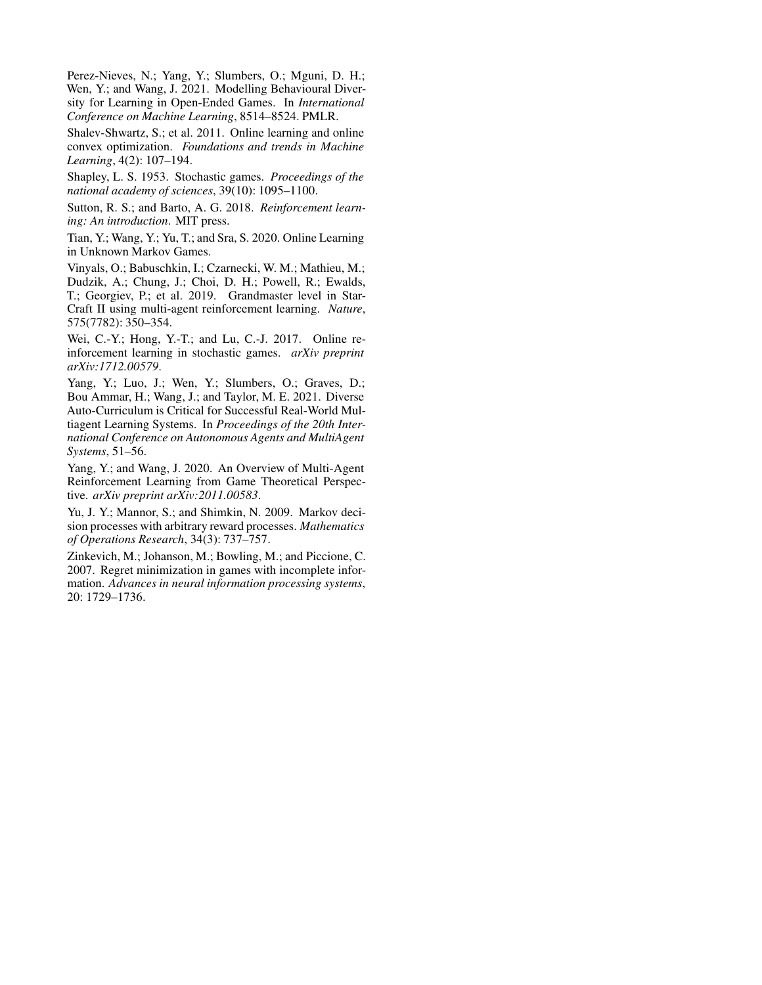<span id="page-8-8"></span>Perez-Nieves, N.; Yang, Y.; Slumbers, O.; Mguni, D. H.; Wen, Y.; and Wang, J. 2021. Modelling Behavioural Diversity for Learning in Open-Ended Games. In *International Conference on Machine Learning*, 8514–8524. PMLR.

<span id="page-8-2"></span>Shalev-Shwartz, S.; et al. 2011. Online learning and online convex optimization. *Foundations and trends in Machine Learning*, 4(2): 107–194.

<span id="page-8-5"></span>Shapley, L. S. 1953. Stochastic games. *Proceedings of the national academy of sciences*, 39(10): 1095–1100.

<span id="page-8-0"></span>Sutton, R. S.; and Barto, A. G. 2018. *Reinforcement learning: An introduction*. MIT press.

<span id="page-8-7"></span>Tian, Y.; Wang, Y.; Yu, T.; and Sra, S. 2020. Online Learning in Unknown Markov Games.

<span id="page-8-10"></span>Vinyals, O.; Babuschkin, I.; Czarnecki, W. M.; Mathieu, M.; Dudzik, A.; Chung, J.; Choi, D. H.; Powell, R.; Ewalds, T.; Georgiev, P.; et al. 2019. Grandmaster level in Star-Craft II using multi-agent reinforcement learning. *Nature*, 575(7782): 350–354.

<span id="page-8-6"></span>Wei, C.-Y.; Hong, Y.-T.; and Lu, C.-J. 2017. Online reinforcement learning in stochastic games. *arXiv preprint arXiv:1712.00579*.

<span id="page-8-9"></span>Yang, Y.; Luo, J.; Wen, Y.; Slumbers, O.; Graves, D.; Bou Ammar, H.; Wang, J.; and Taylor, M. E. 2021. Diverse Auto-Curriculum is Critical for Successful Real-World Multiagent Learning Systems. In *Proceedings of the 20th International Conference on Autonomous Agents and MultiAgent Systems*, 51–56.

<span id="page-8-1"></span>Yang, Y.; and Wang, J. 2020. An Overview of Multi-Agent Reinforcement Learning from Game Theoretical Perspective. *arXiv preprint arXiv:2011.00583*.

<span id="page-8-3"></span>Yu, J. Y.; Mannor, S.; and Shimkin, N. 2009. Markov decision processes with arbitrary reward processes. *Mathematics of Operations Research*, 34(3): 737–757.

<span id="page-8-4"></span>Zinkevich, M.; Johanson, M.; Bowling, M.; and Piccione, C. 2007. Regret minimization in games with incomplete information. *Advances in neural information processing systems*, 20: 1729–1736.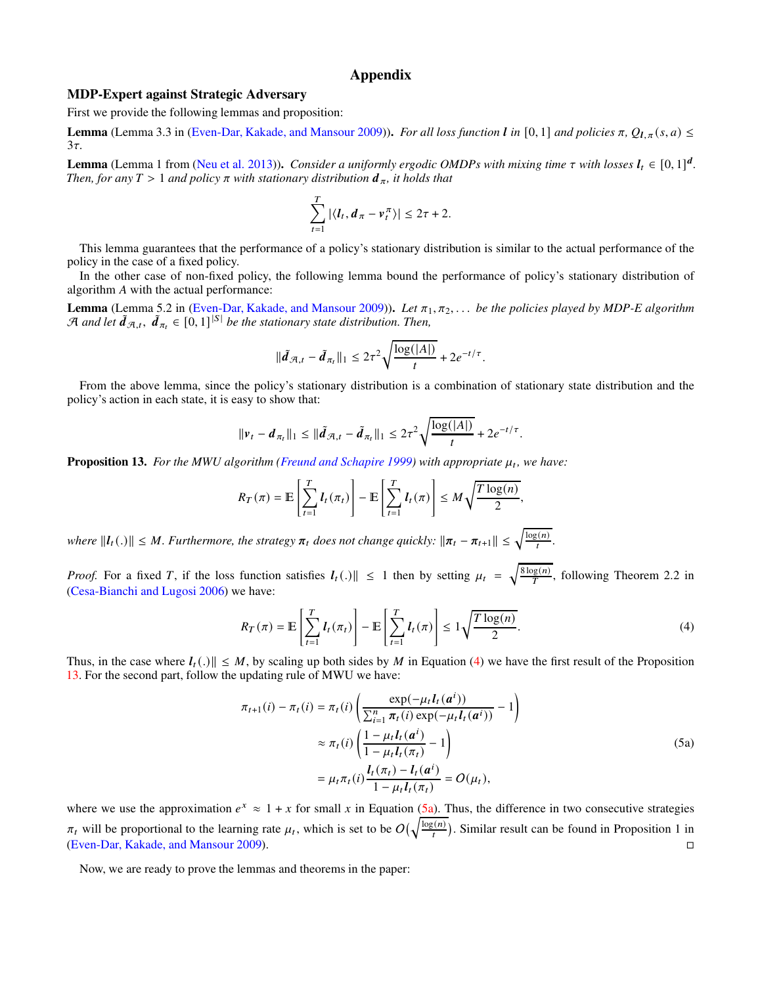# Appendix

#### MDP-Expert against Strategic Adversary

First we provide the following lemmas and proposition:

Lemma (Lemma 3.3 in [\(Even-Dar, Kakade, and Mansour 2009\)](#page-7-1)). *For all loss function l in* [0, 1] *and policies*  $\pi$ *,*  $Q_{l,\pi}(s, a) \leq$  $3\tau$ 

**Lemma** (Lemma 1 from [\(Neu et al. 2013](#page-7-13))). *Consider a uniformly ergodic OMDPs with mixing time*  $\tau$  *with losses*  $l_t \in [0, 1]^d$ . *Then, for any*  $T > 1$  *and policy*  $\pi$  *with stationary distribution*  $d_{\pi}$ *, it holds that* 

$$
\sum_{t=1}^T |\langle \boldsymbol{l}_t, \boldsymbol{d}_{\pi} - \boldsymbol{v}_t^{\pi} \rangle| \leq 2\tau + 2.
$$

This lemma guarantees that the performance of a policy's stationary distribution is similar to the actual performance of the policy in the case of a fixed policy.

In the other case of non-fixed policy, the following lemma bound the performance of policy's stationary distribution of algorithm  $A$  with the actual performance:

Lemma (Lemma 5.2 in [\(Even-Dar, Kakade, and Mansour 2009\)](#page-7-1)). Let  $\pi_1, \pi_2, \ldots$  *be the policies played by MDP-E algorithm*  $\mathcal A$  and let  $\tilde d_{\mathcal A,t}$ ,  $\tilde d_{\pi_t} \in [0,1]^{|\mathcal S|}$  be the stationary state distribution. Then,

$$
\|\tilde{d}_{\mathcal{A},t} - \tilde{d}_{\pi_t}\|_1 \leq 2\tau^2 \sqrt{\frac{\log(|A|)}{t}} + 2e^{-t/\tau}.
$$

From the above lemma, since the policy's stationary distribution is a combination of stationary state distribution and the policy's action in each state, it is easy to show that:

$$
\|\nu_t - d_{\pi_t}\|_1 \leq \|\tilde{d}_{\mathcal{A},t} - \tilde{d}_{\pi_t}\|_1 \leq 2\tau^2 \sqrt{\frac{\log(|A|)}{t}} + 2e^{-t/\tau}.
$$

<span id="page-9-1"></span>**Proposition 13.** For the MWU algorithm [\(Freund and Schapire 1999](#page-7-5)) with appropriate  $\mu_t$ , we have:

$$
R_T(\pi) = \mathbb{E}\left[\sum_{t=1}^T l_t(\pi_t)\right] - \mathbb{E}\left[\sum_{t=1}^T l_t(\pi)\right] \leq M \sqrt{\frac{T \log(n)}{2}},
$$

*where*  $||l_t(.)|| \leq M$ . Furthermore, the strategy  $\pi_t$  does not change quickly:  $||\pi_t - \pi_{t+1}|| \leq \sqrt{\frac{\log(n)}{t}}$ .

*Proof.* For a fixed T, if the loss function satisfies  $I_t(.)$   $\leq 1$  then by setting  $\mu_t = \sqrt{\frac{8 \log(n)}{T}}$ , following Theorem 2.2 in [\(Cesa-Bianchi and Lugosi 2006](#page-7-17)) we have:

<span id="page-9-0"></span>
$$
R_T(\pi) = \mathbb{E}\left[\sum_{t=1}^T l_t(\pi_t)\right] - \mathbb{E}\left[\sum_{t=1}^T l_t(\pi)\right] \le 1\sqrt{\frac{T\log(n)}{2}}.\tag{4}
$$

Thus, in the case where  $I_t(.)$   $\leq M$ , by scaling up both sides by M in Equation [\(4\)](#page-9-0) we have the first result of the Proposition [13.](#page-9-1) For the second part, follow the updating rule of MWU we have:

$$
\pi_{t+1}(i) - \pi_t(i) = \pi_t(i) \left( \frac{\exp(-\mu_t l_t(a^i))}{\sum_{i=1}^n \pi_t(i) \exp(-\mu_t l_t(a^i))} - 1 \right)
$$
  
\n
$$
\approx \pi_t(i) \left( \frac{1 - \mu_t l_t(a^i)}{1 - \mu_t l_t(\pi_t)} - 1 \right)
$$
  
\n
$$
= \mu_t \pi_t(i) \frac{l_t(\pi_t) - l_t(a^i)}{1 - \mu_t l_t(\pi_t)} = O(\mu_t),
$$
\n(5a)

where we use the approximation  $e^x \approx 1 + x$  for small x in Equation [\(5a\)](#page-19-0). Thus, the difference in two consecutive strategies  $\pi_t$  will be proportional to the learning rate  $\mu_t$ , which is set to be  $O(\sqrt{\frac{\log(n)}{t}})$ . Similar result can be found in Proposition 1 in [\(Even-Dar, Kakade, and Mansour 2009](#page-7-1)).

Now, we are ready to prove the lemmas and theorems in the paper: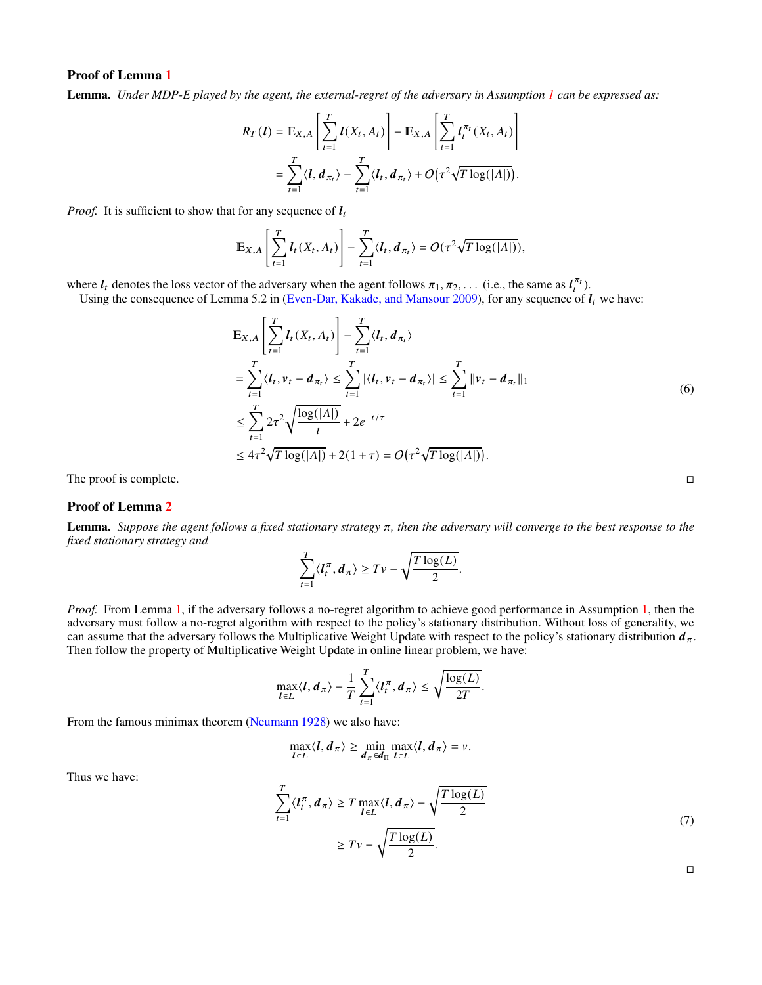# Proof of Lemma [1](#page-3-3)

Lemma. *Under MDP-E played by the agent, the external-regret of the adversary in Assumption [1](#page-2-3) can be expressed as:* 

$$
R_T(l) = \mathbb{E}_{X,A}\left[\sum_{t=1}^T l(X_t, A_t)\right] - \mathbb{E}_{X,A}\left[\sum_{t=1}^T l_t^{\pi_t}(X_t, A_t)\right]
$$
  
= 
$$
\sum_{t=1}^T \langle l, d_{\pi_t} \rangle - \sum_{t=1}^T \langle l_t, d_{\pi_t} \rangle + O\left(\tau^2 \sqrt{T \log(|A|)}\right).
$$

*Proof.* It is sufficient to show that for any sequence of  $l_t$ 

$$
\mathbb{E}_{X,A}\left[\sum_{t=1}^T l_t(X_t,A_t)\right]-\sum_{t=1}^T \langle l_t, d_{\pi_t}\rangle = O(\tau^2\sqrt{T\log(|A|)}),
$$

where  $l_t$  denotes the loss vector of the adversary when the agent follows  $\pi_1, \pi_2, \ldots$  (i.e., the same as  $l_t^{\pi_t}$ ).

#

 $\epsilon$ 

Using the consequence of Lemma 5.2 in [\(Even-Dar, Kakade, and Mansour 2009\)](#page-7-1), for any sequence of  $I_t$  we have:

$$
\mathbb{E}_{X,A}\left[\sum_{t=1}^{T} l_t(X_t, A_t)\right] - \sum_{t=1}^{T} \langle l_t, d_{\pi_t} \rangle
$$
\n
$$
= \sum_{t=1}^{T} \langle l_t, v_t - d_{\pi_t} \rangle \le \sum_{t=1}^{T} |\langle l_t, v_t - d_{\pi_t} \rangle| \le \sum_{t=1}^{T} ||v_t - d_{\pi_t}||_1
$$
\n
$$
\le \sum_{t=1}^{T} 2\tau^2 \sqrt{\frac{\log(|A|)}{t}} + 2e^{-t/\tau}
$$
\n
$$
\le 4\tau^2 \sqrt{T \log(|A|)} + 2(1+\tau) = O\left(\tau^2 \sqrt{T \log(|A|)}\right).
$$
\n(6)

The proof is complete.

# Proof of Lemma [2](#page-4-1)

**Lemma.** Suppose the agent follows a fixed stationary strategy  $\pi$ , then the adversary will converge to the best response to the *fixed stationary strategy and*

$$
\sum_{t=1}^T \langle I_t^{\pi}, d_{\pi} \rangle \geq Tv - \sqrt{\frac{T \log(L)}{2}}.
$$

*Proof.* From Lemma [1,](#page-3-3) if the adversary follows a no-regret algorithm to achieve good performance in Assumption [1,](#page-2-3) then the adversary must follow a no-regret algorithm with respect to the policy's stationary distribution. Without loss of generality, we can assume that the adversary follows the Multiplicative Weight Update with respect to the policy's stationary distribution  $d_{\pi}$ . Then follow the property of Multiplicative Weight Update in online linear problem, we have:

$$
\max_{\mathbf{I}\in L}\langle\mathbf{I},\mathbf{d}_{\pi}\rangle-\frac{1}{T}\sum_{t=1}^T\langle\mathbf{I}_t^{\pi},\mathbf{d}_{\pi}\rangle\leq\sqrt{\frac{\log(L)}{2T}}.
$$

From the famous minimax theorem [\(Neumann 1928\)](#page-7-21) we also have:

$$
\max_{l\in L}\langle l,d_\pi\rangle\geq \min_{d_\pi\in d_\Pi}\max_{l\in L}\langle l,d_\pi\rangle=\nu.
$$

Thus we have:

$$
\sum_{t=1}^{T} \langle l_t^{\pi}, d_{\pi} \rangle \ge T \max_{l \in L} \langle l, d_{\pi} \rangle - \sqrt{\frac{T \log(L)}{2}}
$$
\n
$$
\ge T \nu - \sqrt{\frac{T \log(L)}{2}}.
$$
\n(7)

 $\Box$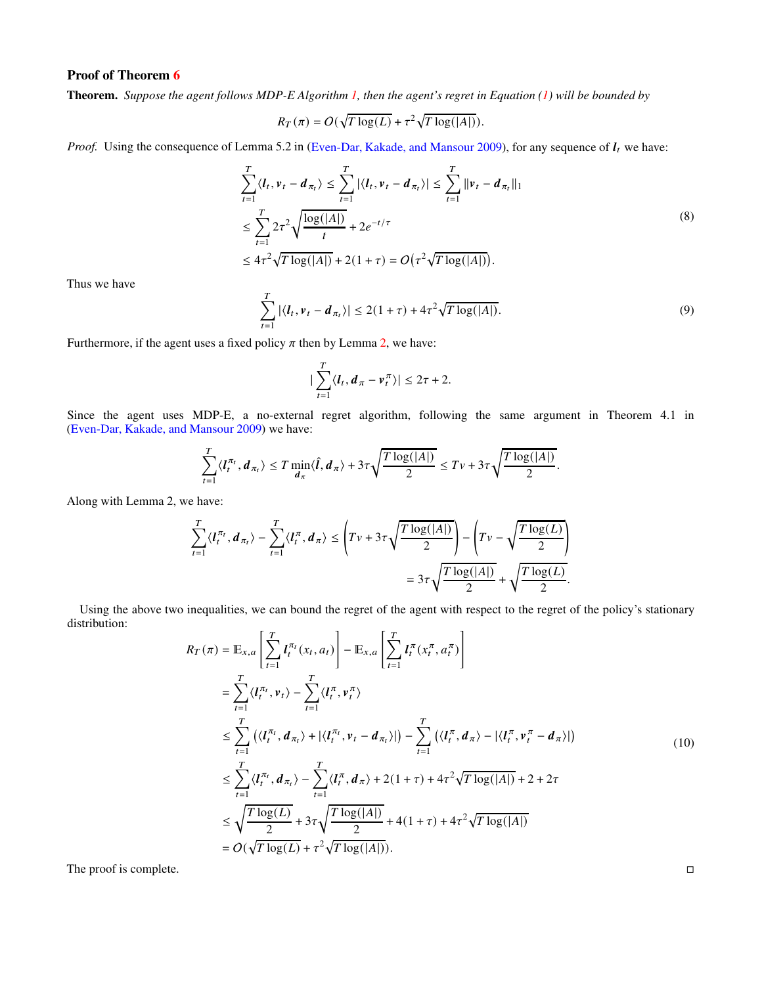Theorem. *Suppose the agent follows MDP-E Algorithm [1,](#page-3-2) then the agent's regret in Equation [\(1\)](#page-2-0) will be bounded by*

$$
R_T(\pi) = O(\sqrt{T \log(L)} + \tau^2 \sqrt{T \log(|A|)}).
$$

*Proof.* Using the consequence of Lemma 5.2 in [\(Even-Dar, Kakade, and Mansour 2009\)](#page-7-1), for any sequence of  $l_t$  we have:

$$
\sum_{t=1}^{T} \langle l_t, v_t - d_{\pi_t} \rangle \le \sum_{t=1}^{T} |\langle l_t, v_t - d_{\pi_t} \rangle| \le \sum_{t=1}^{T} ||v_t - d_{\pi_t}||_1
$$
\n
$$
\le \sum_{t=1}^{T} 2\tau^2 \sqrt{\frac{\log(|A|)}{t}} + 2e^{-t/\tau}
$$
\n
$$
\le 4\tau^2 \sqrt{T \log(|A|)} + 2(1+\tau) = O(\tau^2 \sqrt{T \log(|A|)}).
$$
\n(8)

Thus we have

$$
\sum_{t=1}^{T} |\langle I_t, v_t - d_{\pi_t} \rangle| \le 2(1+\tau) + 4\tau^2 \sqrt{T \log(|A|)}.
$$
\n(9)

Furthermore, if the agent uses a fixed policy  $\pi$  then by Lemma [2,](#page-4-1) we have:

$$
\big|\sum_{t=1}^T\langle \boldsymbol{l}_t,\boldsymbol{d}_\pi-\boldsymbol{v}_t^\pi\rangle\big|\leq 2\tau+2.
$$

Since the agent uses MDP-E, a no-external regret algorithm, following the same argument in Theorem 4.1 in [\(Even-Dar, Kakade, and Mansour 2009](#page-7-1)) we have:

$$
\sum_{t=1}^T \langle I_t^{\pi_t}, d_{\pi_t} \rangle \leq T \min_{d_{\pi}} \langle \hat{I}, d_{\pi} \rangle + 3\tau \sqrt{\frac{T \log(|A|)}{2}} \leq T \nu + 3\tau \sqrt{\frac{T \log(|A|)}{2}}.
$$

Along with Lemma 2, we have:

$$
\sum_{t=1}^T \langle I_t^{\pi_t}, d_{\pi_t} \rangle - \sum_{t=1}^T \langle I_t^{\pi}, d_{\pi} \rangle \le \left( Tv + 3\tau \sqrt{\frac{T \log(|A|)}{2}} \right) - \left( Tv - \sqrt{\frac{T \log(L)}{2}} \right) \n= 3\tau \sqrt{\frac{T \log(|A|)}{2}} + \sqrt{\frac{T \log(L)}{2}}.
$$

Using the above two inequalities, we can bound the regret of the agent with respect to the regret of the policy's stationary distribution:  $\mathbf{r}$  $\overline{1}$  $\mathbf{r}$  $\overline{1}$ 

$$
R_T(\pi) = \mathbb{E}_{x,a} \left[ \sum_{t=1}^T l_t^{\pi_t}(x_t, a_t) \right] - \mathbb{E}_{x,a} \left[ \sum_{t=1}^T l_t^{\pi}(x_t^{\pi}, a_t^{\pi}) \right]
$$
  
\n
$$
= \sum_{t=1}^T \langle l_t^{\pi_t}, v_t \rangle - \sum_{t=1}^T \langle l_t^{\pi}, v_t^{\pi} \rangle
$$
  
\n
$$
\leq \sum_{t=1}^T \left( \langle l_t^{\pi_t}, d_{\pi_t} \rangle + |\langle l_t^{\pi_t}, v_t - d_{\pi_t} \rangle| \right) - \sum_{t=1}^T \left( \langle l_t^{\pi}, d_{\pi} \rangle - |\langle l_t^{\pi}, v_t^{\pi} - d_{\pi} \rangle| \right)
$$
  
\n
$$
\leq \sum_{t=1}^T \langle l_t^{\pi_t}, d_{\pi_t} \rangle - \sum_{t=1}^T \langle l_t^{\pi}, d_{\pi} \rangle + 2(1 + \tau) + 4\tau^2 \sqrt{T \log(|A|)} + 2 + 2\tau
$$
  
\n
$$
\leq \sqrt{\frac{T \log(L)}{2}} + 3\tau \sqrt{\frac{T \log(|A|)}{2}} + 4(1 + \tau) + 4\tau^2 \sqrt{T \log(|A|)}
$$
  
\n
$$
= O(\sqrt{T \log(L)} + \tau^2 \sqrt{T \log(|A|)}).
$$
  
\n(10)

The proof is complete.

| _ |  |
|---|--|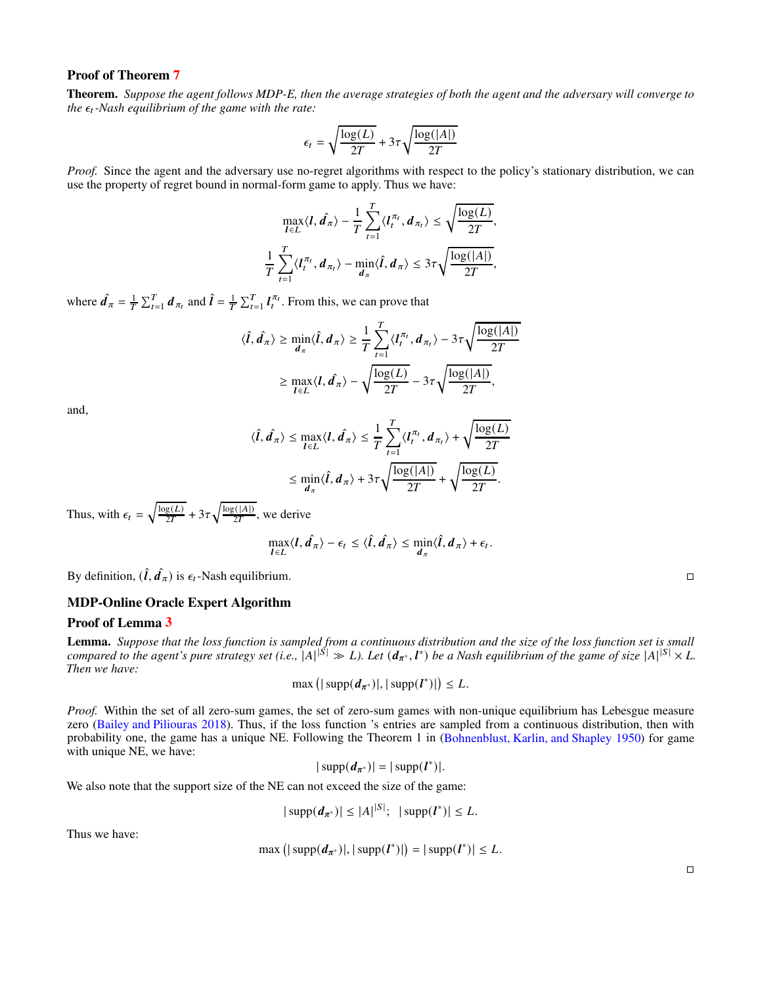Theorem. *Suppose the agent follows MDP-E, then the average strategies of both the agent and the adversary will converge to the*  $\epsilon_t$ -Nash equilibrium of the game with the rate:

$$
\epsilon_t = \sqrt{\frac{\log(L)}{2T}} + 3\tau\sqrt{\frac{\log(|A|)}{2T}}
$$

*Proof.* Since the agent and the adversary use no-regret algorithms with respect to the policy's stationary distribution, we can use the property of regret bound in normal-form game to apply. Thus we have:

$$
\max_{l \in L} \langle l, \hat{d}_{\pi} \rangle - \frac{1}{T} \sum_{t=1}^{T} \langle l_t^{\pi_t}, d_{\pi_t} \rangle \le \sqrt{\frac{\log(L)}{2T}},
$$
  

$$
\frac{1}{T} \sum_{t=1}^{T} \langle l_t^{\pi_t}, d_{\pi_t} \rangle - \min_{d_{\pi}} \langle \hat{l}, d_{\pi} \rangle \le 3\tau \sqrt{\frac{\log(|A|)}{2T}},
$$

where  $\hat{\mathbf{d}}_{\pi} = \frac{1}{T} \sum_{t=1}^{T} \mathbf{d}_{\pi_t}$  and  $\hat{\mathbf{l}} = \frac{1}{T} \sum_{t=1}^{T} \mathbf{l}_t^{\pi_t}$ . From this, we can prove that

$$
\langle \hat{\boldsymbol{t}}, \hat{\boldsymbol{d}}_{\pi} \rangle \ge \min_{\boldsymbol{d}_{\pi}} \langle \hat{\boldsymbol{t}}, \boldsymbol{d}_{\pi} \rangle \ge \frac{1}{T} \sum_{t=1}^{T} \langle \boldsymbol{l}_{t}^{\pi_{t}}, \boldsymbol{d}_{\pi_{t}} \rangle - 3\tau \sqrt{\frac{\log(|\boldsymbol{A}|)}{2T}}
$$

$$
\ge \max_{\boldsymbol{l} \in L} \langle \boldsymbol{l}, \hat{\boldsymbol{d}}_{\pi} \rangle - \sqrt{\frac{\log(L)}{2T}} - 3\tau \sqrt{\frac{\log(|\boldsymbol{A}|)}{2T}},
$$

and,

$$
\langle \hat{I}, \hat{d}_{\pi} \rangle \leq \max_{I \in L} \langle I, \hat{d}_{\pi} \rangle \leq \frac{1}{T} \sum_{t=1}^{T} \langle I_t^{\pi_t}, d_{\pi_t} \rangle + \sqrt{\frac{\log(L)}{2T}} \leq \min_{d_{\pi}} \langle \hat{I}, d_{\pi} \rangle + 3\tau \sqrt{\frac{\log(|A|)}{2T}} + \sqrt{\frac{\log(L)}{2T}}.
$$

Thus, with  $\epsilon_t = \sqrt{\frac{\log(L)}{2T}} + 3\tau \sqrt{\frac{\log(|A|)}{2T}}$ , we derive

$$
\max_{l\in L}\langle l,\hat{d}_{\pi}\rangle-\epsilon_t\leq \langle \hat{l},\hat{d}_{\pi}\rangle\leq \min_{d_{\pi}}\langle \hat{l},d_{\pi}\rangle+\epsilon_t.
$$

By definition,  $(\hat{\bm{l}}, \hat{\bm{d}}_{\pi})$  is  $\epsilon_t$ -Nash equilibrium.

# MDP-Online Oracle Expert Algorithm

## Proof of Lemma [3](#page-5-3)

Lemma. *Suppose that the loss function is sampled from a continuous distribution and the size of the loss function set is small* compared to the agent's pure strategy set (i.e.,  $|A|^{|\mathcal{S}|} \gg L$ ). Let  $(d_{\pi^*}, l^*)$  be a Nash equilibrium of the game of size  $|A|^{|\mathcal{S}|} \times L$ . *Then we have:*

$$
\max\left(|\operatorname{supp}(d_{\pi^*})|,|\operatorname{supp}(l^*)|\right)\leq L.
$$

*Proof.* Within the set of all zero-sum games, the set of zero-sum games with non-unique equilibrium has Lebesgue measure zero [\(Bailey and Piliouras 2018\)](#page-7-7). Thus, if the loss function 's entries are sampled from a continuous distribution, then with probability one, the game has a unique NE. Following the Theorem 1 in [\(Bohnenblust, Karlin, and Shapley 1950\)](#page-7-28) for game with unique NE, we have:

$$
|\operatorname{supp}(d_{\pi^*})|=|\operatorname{supp}(l^*)|.
$$

We also note that the support size of the NE can not exceed the size of the game:

$$
|\supp(d_{\pi^*})| \leq |A|^{|S|}; \ |supp(l^*)| \leq L.
$$

Thus we have:

$$
\max(|\sup p(d_{\pi^*})|, |\sup p(l^*)|) = |\sup p(l^*)| \leq L.
$$

 $\Box$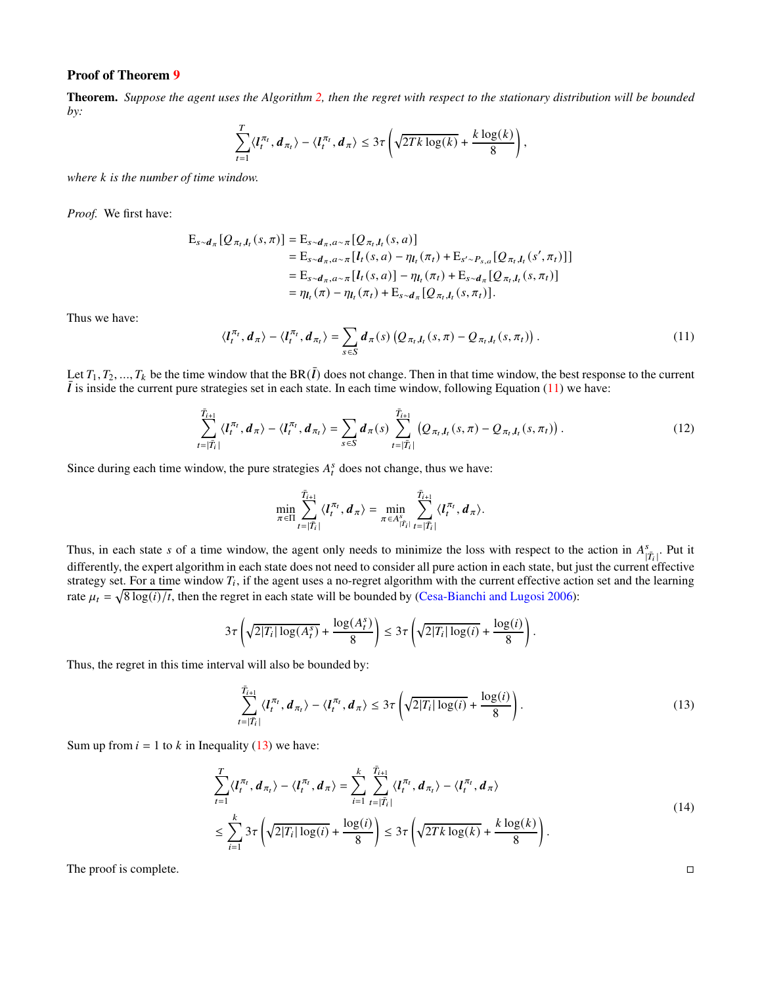Theorem. *Suppose the agent uses the Algorithm [2,](#page-5-0) then the regret with respect to the stationary distribution will be bounded by:*

$$
\sum_{t=1}^T \langle I_t^{\pi_t}, \boldsymbol{d}_{\pi_t} \rangle - \langle I_t^{\pi_t}, \boldsymbol{d}_{\pi} \rangle \leq 3\tau \left( \sqrt{2Tk \log(k)} + \frac{k \log(k)}{8} \right),
$$

*where k* is the number of time window.

*Proof.* We first have:

$$
E_{s \sim d_{\pi}}[Q_{\pi_{t},l_{t}}(s,\pi)] = E_{s \sim d_{\pi},a \sim \pi}[Q_{\pi_{t},l_{t}}(s,a)]
$$
  
\n
$$
= E_{s \sim d_{\pi},a \sim \pi}[l_{t}(s,a) - \eta_{l_{t}}(\pi_{t}) + E_{s' \sim P_{s,a}}[Q_{\pi_{t},l_{t}}(s',\pi_{t})]]
$$
  
\n
$$
= E_{s \sim d_{\pi},a \sim \pi}[l_{t}(s,a)] - \eta_{l_{t}}(\pi_{t}) + E_{s \sim d_{\pi}}[Q_{\pi_{t},l_{t}}(s,\pi_{t})]
$$
  
\n
$$
= \eta_{l_{t}}(\pi) - \eta_{l_{t}}(\pi_{t}) + E_{s \sim d_{\pi}}[Q_{\pi_{t},l_{t}}(s,\pi_{t})].
$$

<span id="page-13-0"></span>Thus we have:

$$
\langle l_t^{\pi_t}, d_\pi \rangle - \langle l_t^{\pi_t}, d_{\pi_t} \rangle = \sum_{s \in S} d_\pi(s) \left( Q_{\pi_t, l_t}(s, \pi) - Q_{\pi_t, l_t}(s, \pi_t) \right). \tag{11}
$$

Let  $T_1, T_2, ..., T_k$  be the time window that the BR( $\overline{l}$ ) does not change. Then in that time window, the best response to the current  $\bar{l}$  is inside the current pure strategies set in each state. In each time window, following Equation [\(11\)](#page-13-0) we have:

$$
\sum_{t=|\bar{T}_t|}^{\bar{T}_{t+1}} \langle I_t^{\pi_t}, d_{\pi} \rangle - \langle I_t^{\pi_t}, d_{\pi_t} \rangle = \sum_{s \in S} d_{\pi}(s) \sum_{t=|\bar{T}_t|}^{\bar{T}_{t+1}} \left( Q_{\pi_t, I_t}(s, \pi) - Q_{\pi_t, I_t}(s, \pi_t) \right). \tag{12}
$$

Since during each time window, the pure strategies  $A_t^s$  does not change, thus we have:

$$
\min_{\pi \in \Pi} \sum_{t=|\bar{T}_i|}^{|\bar{T}_{i+1}|} \langle l_t^{\pi_t}, d_{\pi} \rangle = \min_{\pi \in A_{|\bar{T}_i|}^s} \sum_{t=|\bar{T}_i|}^{|\bar{T}_{i+1}|} \langle l_t^{\pi_t}, d_{\pi} \rangle.
$$

Thus, in each state s of a time window, the agent only needs to minimize the loss with respect to the action in  $A_{|\overline{T_i}|}^s$ . Put it differently, the expert algorithm in each state does not need to consider all pure action in each state, but just the current effective strategy set. For a time window  $T_i$ , if the agent uses a no-regret algorithm with the current effective action set and the learning rate  $\mu_t = \sqrt{8 \log(i)/t}$ , then the regret in each state will be bounded by [\(Cesa-Bianchi and Lugosi 2006](#page-7-17)):

$$
3\tau \left(\sqrt{2|T_i| \log(A_t^s)} + \frac{\log(A_t^s)}{8}\right) \le 3\tau \left(\sqrt{2|T_i| \log(i)} + \frac{\log(i)}{8}\right)
$$

Thus, the regret in this time interval will also be bounded by:

<span id="page-13-1"></span>
$$
\sum_{t=|\overline{T}_i|}^{\overline{T}_{i+1}} \langle I_t^{\pi_t}, \boldsymbol{d}_{\pi_t} \rangle - \langle I_t^{\pi_t}, \boldsymbol{d}_{\pi} \rangle \leq 3\tau \left( \sqrt{2|T_i| \log(i)} + \frac{\log(i)}{8} \right).
$$
\n(13)

.

Sum up from  $i = 1$  to k in Inequality [\(13\)](#page-13-1) we have:

$$
\sum_{t=1}^{T} \langle l_t^{\pi_t}, d_{\pi_t} \rangle - \langle l_t^{\pi_t}, d_{\pi} \rangle = \sum_{i=1}^{k} \sum_{t=\lfloor \overline{T}_i \rfloor}^{\overline{T}_{i+1}} \langle l_t^{\pi_t}, d_{\pi_t} \rangle - \langle l_t^{\pi_t}, d_{\pi} \rangle
$$
\n
$$
\leq \sum_{i=1}^{k} 3\tau \left( \sqrt{2|T_i| \log(i)} + \frac{\log(i)}{8} \right) \leq 3\tau \left( \sqrt{2Tk \log(k)} + \frac{k \log(k)}{8} \right).
$$
\n(14)

The proof is complete.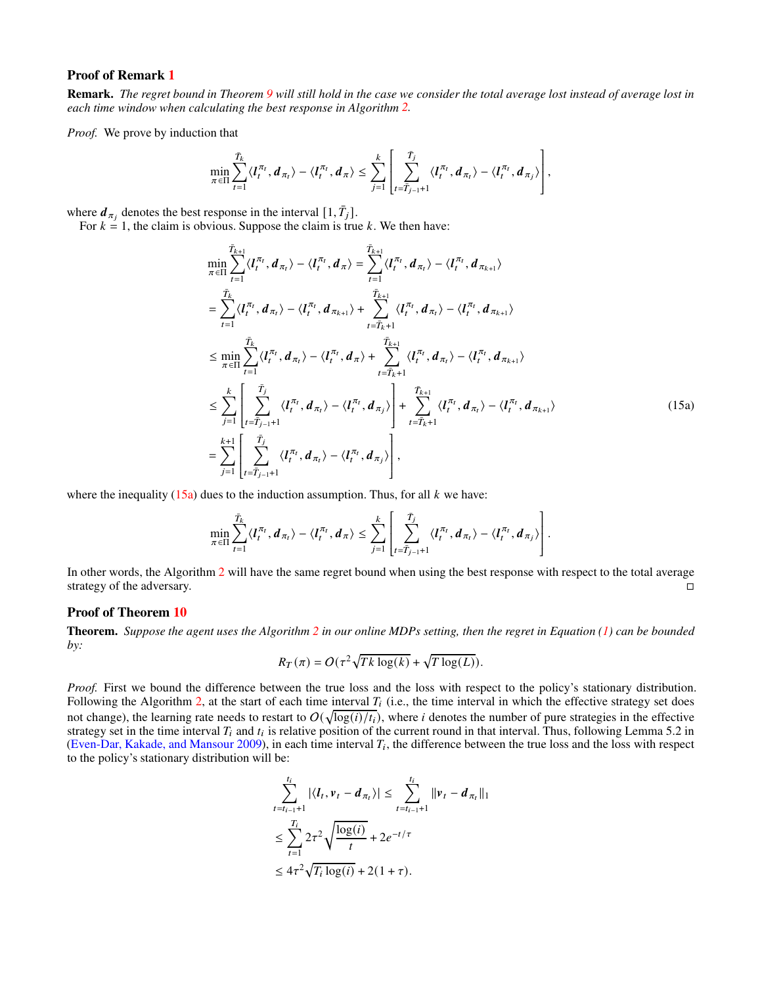## Proof of Remark [1](#page-5-4)

Remark. *The regret bound in Theorem [9](#page-5-1) will still hold in the case we consider the total average lost instead of average lost in each time window when calculating the best response in Algorithm [2.](#page-5-0)*

*Proof.* We prove by induction that

$$
\min_{\pi \in \Pi} \sum_{t=1}^{\bar{T}_k} \langle l_t^{\pi_t}, d_{\pi_t} \rangle - \langle l_t^{\pi_t}, d_{\pi} \rangle \leq \sum_{j=1}^k \left[ \sum_{t=\bar{T}_{j-1}+1}^{\bar{T}_j} \langle l_t^{\pi_t}, d_{\pi_t} \rangle - \langle l_t^{\pi_t}, d_{\pi_j} \rangle \right],
$$

where  $d_{\pi_j}$  denotes the best response in the interval  $[1, \bar{T}_j]$ .

For  $k = 1$ , the claim is obvious. Suppose the claim is true k. We then have:

$$
\min_{\pi \in \Pi} \sum_{t=1}^{\overline{T}_{k+1}} \langle l_t^{\pi_t}, d_{\pi_t} \rangle - \langle l_t^{\pi_t}, d_{\pi} \rangle = \sum_{t=1}^{\overline{T}_{k+1}} \langle l_t^{\pi_t}, d_{\pi_t} \rangle - \langle l_t^{\pi_t}, d_{\pi_{k+1}} \rangle
$$
\n
$$
= \sum_{t=1}^{\overline{T}_k} \langle l_t^{\pi_t}, d_{\pi_t} \rangle - \langle l_t^{\pi_t}, d_{\pi_{k+1}} \rangle + \sum_{t=\overline{T}_{k+1}}^{\overline{T}_{k+1}} \langle l_t^{\pi_t}, d_{\pi_t} \rangle - \langle l_t^{\pi_t}, d_{\pi_{k+1}} \rangle
$$
\n
$$
\leq \min_{\pi \in \Pi} \sum_{t=1}^{\overline{T}_k} \langle l_t^{\pi_t}, d_{\pi_t} \rangle - \langle l_t^{\pi_t}, d_{\pi} \rangle + \sum_{t=\overline{T}_{k+1}}^{\overline{T}_{k+1}} \langle l_t^{\pi_t}, d_{\pi_t} \rangle - \langle l_t^{\pi_t}, d_{\pi_{k+1}} \rangle
$$
\n
$$
\leq \sum_{j=1}^k \left[ \sum_{t=\overline{T}_{j-1}+1}^{\overline{T}_j} \langle l_t^{\pi_t}, d_{\pi_t} \rangle - \langle l_t^{\pi_t}, d_{\pi_j} \rangle \right] + \sum_{t=\overline{T}_{k+1}}^{\overline{T}_{k+1}} \langle l_t^{\pi_t}, d_{\pi_t} \rangle - \langle l_t^{\pi_t}, d_{\pi_{k+1}} \rangle
$$
\n
$$
= \sum_{j=1}^{k+1} \left[ \sum_{t=\overline{T}_{j-1}+1}^{\overline{T}_j} \langle l_t^{\pi_t}, d_{\pi_t} \rangle - \langle l_t^{\pi_t}, d_{\pi_j} \rangle \right],
$$
\n(15a)

where the inequality [\(15a\)](#page-19-0) dues to the induction assumption. Thus, for all  $k$  we have:

$$
\min_{\pi \in \Pi} \sum_{t=1}^{\bar{T}_k} \langle l_t^{\pi_t}, d_{\pi_t} \rangle - \langle l_t^{\pi_t}, d_{\pi} \rangle \leq \sum_{j=1}^k \left[ \sum_{t=\bar{T}_{j-1}+1}^{\bar{T}_j} \langle l_t^{\pi_t}, d_{\pi_t} \rangle - \langle l_t^{\pi_t}, d_{\pi_j} \rangle \right].
$$

In other words, the Algorithm [2](#page-5-0) will have the same regret bound when using the best response with respect to the total average strategy of the adversary.

# Proof of Theorem [10](#page-5-5)

Theorem. *Suppose the agent uses the Algorithm [2](#page-5-0) in our online MDPs setting, then the regret in Equation [\(1\)](#page-2-0) can be bounded by:*

$$
R_T(\pi) = O(\tau^2 \sqrt{Tk \log(k)} + \sqrt{T \log(L)}).
$$

*Proof.* First we bound the difference between the true loss and the loss with respect to the policy's stationary distribution. Following the Algorithm [2,](#page-5-0) at the start of each time interval  $T_i$  (i.e., the time interval in which the effective strategy set does not change), the learning rate needs to restart to  $O(\sqrt{\log(i)/t_i})$ , where *i* denotes the number of pure strategies in the effective strategy set in the time interval  $T_i$  and  $t_i$  is relative position of the current round in that interval. Thus, following Lemma 5.2 in [\(Even-Dar, Kakade, and Mansour 2009\)](#page-7-1), in each time interval  $T_i$ , the difference between the true loss and the loss with respect to the policy's stationary distribution will be:

$$
\sum_{t=t_{i-1}+1}^{t_i} |\langle l_t, v_t - d_{\pi_t} \rangle| \le \sum_{t=t_{i-1}+1}^{t_i} ||v_t - d_{\pi_t}||_1
$$
  
\n
$$
\le \sum_{t=1}^{T_i} 2\tau^2 \sqrt{\frac{\log(i)}{t}} + 2e^{-t/\tau}
$$
  
\n
$$
\le 4\tau^2 \sqrt{T_i \log(i)} + 2(1+\tau).
$$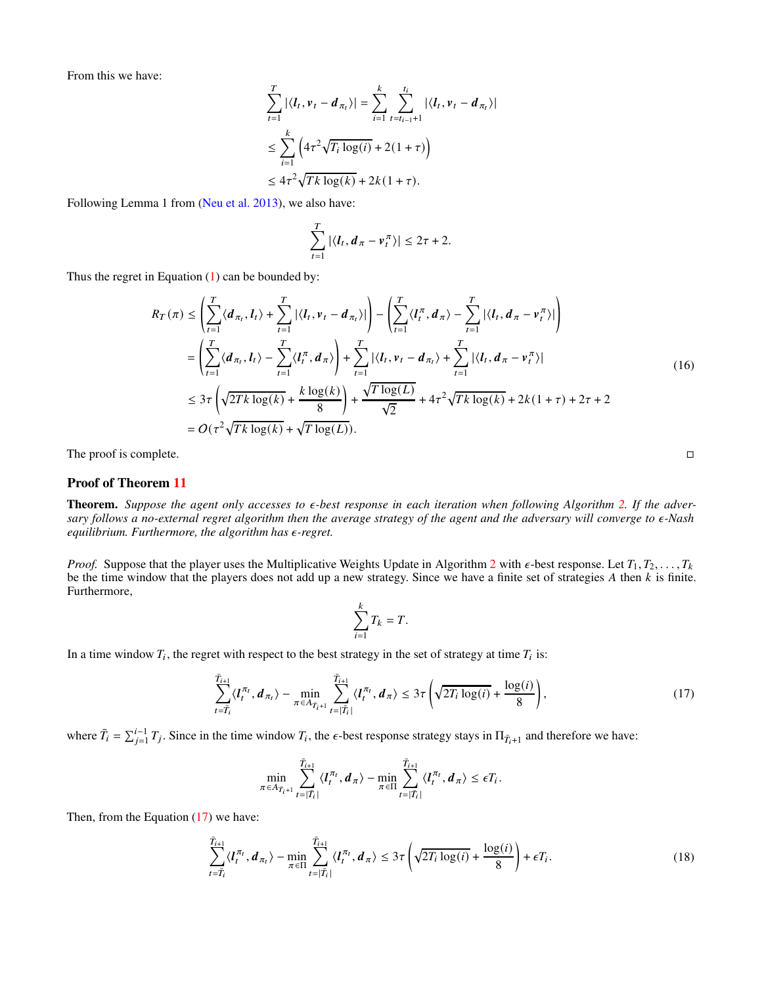From this we have:

$$
\sum_{t=1}^{T} |\langle l_t, v_t - d_{\pi_t} \rangle| = \sum_{i=1}^{k} \sum_{t=t_{i-1}+1}^{t_i} |\langle l_t, v_t - d_{\pi_t} \rangle|
$$
  
\n
$$
\leq \sum_{i=1}^{k} \left( 4\tau^2 \sqrt{T_i \log(i)} + 2(1+\tau) \right)
$$
  
\n
$$
\leq 4\tau^2 \sqrt{T_k \log(k)} + 2k(1+\tau).
$$

Following Lemma 1 from [\(Neu et al. 2013\)](#page-7-13), we also have:

$$
\sum_{t=1}^T |\langle \boldsymbol{l}_t, \boldsymbol{d}_\pi - \boldsymbol{v}_t^\pi \rangle| \leq 2\tau + 2.
$$

Thus the regret in Equation  $(1)$  can be bounded by:

$$
R_T(\pi) \leq \left(\sum_{t=1}^T \langle d_{\pi_t}, l_t \rangle + \sum_{t=1}^T |\langle l_t, v_t - d_{\pi_t} \rangle| \right) - \left(\sum_{t=1}^T \langle l_t^{\pi}, d_{\pi} \rangle - \sum_{t=1}^T |\langle l_t, d_{\pi} - v_t^{\pi} \rangle| \right)
$$
  
\n
$$
= \left(\sum_{t=1}^T \langle d_{\pi_t}, l_t \rangle - \sum_{t=1}^T \langle l_t^{\pi}, d_{\pi} \rangle \right) + \sum_{t=1}^T |\langle l_t, v_t - d_{\pi_t} \rangle + \sum_{t=1}^T |\langle l_t, d_{\pi} - v_t^{\pi} \rangle|
$$
  
\n
$$
\leq 3\tau \left(\sqrt{2Tk \log(k)} + \frac{k \log(k)}{8} \right) + \frac{\sqrt{T \log(L)}}{\sqrt{2}} + 4\tau^2 \sqrt{Tk \log(k)} + 2k(1 + \tau) + 2\tau + 2
$$
  
\n
$$
= O(\tau^2 \sqrt{Tk \log(k)} + \sqrt{T \log(L)}).
$$
 (16)

The proof is complete.

## Proof of Theorem [11](#page-5-2)

**Theorem.** Suppose the agent only accesses to  $\epsilon$ -best response in each iteration when following Algorithm [2.](#page-5-0) If the adver*sary follows a no-external regret algorithm then the average strategy of the agent and the adversary will converge to* 𝜖*-Nash equilibrium. Furthermore, the algorithm has*  $\epsilon$ -regret.

*Proof.* Suppose that the player uses the Multiplicative Weights Update in Algorithm [2](#page-5-0) with  $\epsilon$ -best response. Let  $T_1, T_2, \ldots, T_k$ be the time window that the players does not add up a new strategy. Since we have a finite set of strategies  $A$  then  $k$  is finite. Furthermore,

<span id="page-15-0"></span>
$$
\sum_{i=1}^k T_k = T.
$$

In a time window  $T_i$ , the regret with respect to the best strategy in the set of strategy at time  $T_i$  is:

$$
\sum_{t=\bar{T}_i}^{\bar{T}_{i+1}} \langle l_t^{\pi_t}, \boldsymbol{d}_{\pi_t} \rangle - \min_{\pi \in A_{\bar{T}_i+1}} \sum_{t=|\bar{T}_i|}^{\bar{T}_{i+1}} \langle l_t^{\pi_t}, \boldsymbol{d}_{\pi} \rangle \leq 3\tau \left( \sqrt{2T_i \log(i)} + \frac{\log(i)}{8} \right),\tag{17}
$$

where  $\bar{T}_i = \sum_{j=1}^{i-1} T_j$ . Since in the time window  $T_i$ , the  $\epsilon$ -best response strategy stays in  $\Pi_{\bar{T}_i+1}$  and therefore we have:

<span id="page-15-1"></span>
$$
\min_{\pi \in A_{\tilde{T}_i+1}} \sum_{t=|\tilde{T}_i|}^{\tilde{T}_{i+1}} \langle l_t^{\pi_t}, d_{\pi} \rangle - \min_{\pi \in \Pi} \sum_{t=|\tilde{T}_i|}^{\tilde{T}_{i+1}} \langle l_t^{\pi_t}, d_{\pi} \rangle \le \epsilon T_i.
$$

Then, from the Equation  $(17)$  we have:

$$
\sum_{t=\overline{T}_i}^{\overline{T}_{i+1}} \langle I_t^{\pi_t}, \boldsymbol{d}_{\pi_t} \rangle - \min_{\pi \in \Pi} \sum_{t=|\overline{T}_i|}^{\overline{T}_{i+1}} \langle I_t^{\pi_t}, \boldsymbol{d}_{\pi} \rangle \leq 3\tau \left( \sqrt{2T_i \log(i)} + \frac{\log(i)}{8} \right) + \epsilon T_i.
$$
\n(18)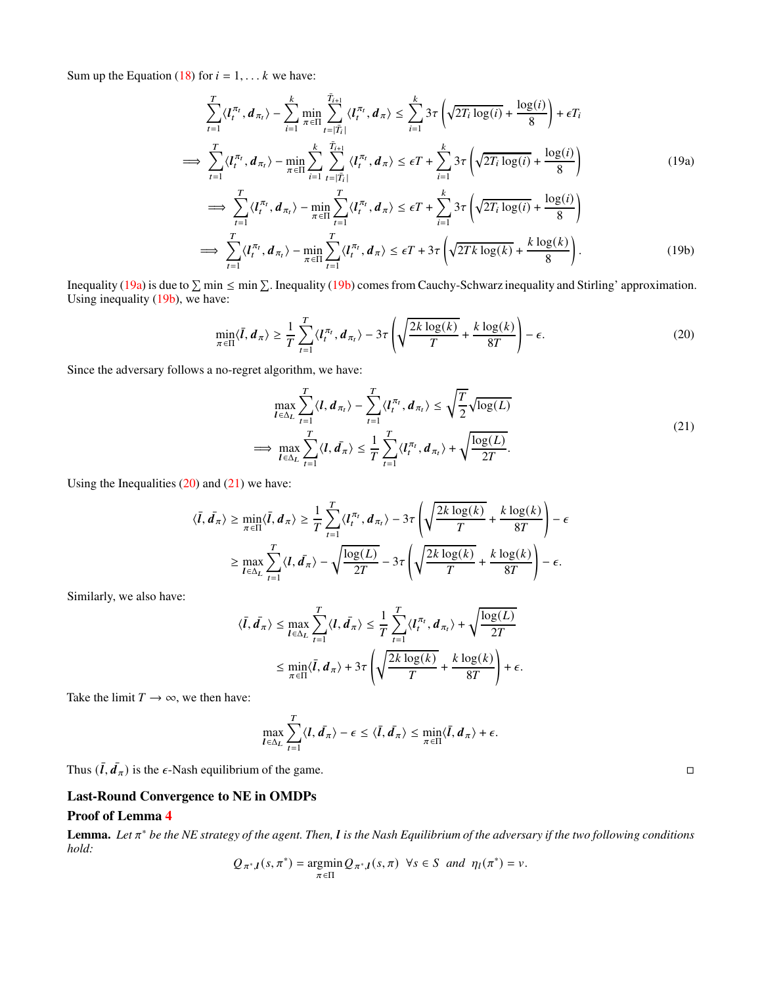Sum up the Equation [\(18\)](#page-15-1) for  $i = 1, \ldots k$  we have:

$$
\sum_{t=1}^{T} \langle I_t^{\pi_t}, d_{\pi_t} \rangle - \sum_{i=1}^{k} \min_{\pi \in \Pi} \sum_{t=|\tilde{T}_i|}^{T_{i+1}} \langle I_t^{\pi_t}, d_{\pi} \rangle \le \sum_{i=1}^{k} 3\tau \left( \sqrt{2T_i \log(i)} + \frac{\log(i)}{8} \right) + \epsilon T_i
$$
\n
$$
\implies \sum_{t=1}^{T} \langle I_t^{\pi_t}, d_{\pi_t} \rangle - \min_{\pi \in \Pi} \sum_{i=1}^{k} \sum_{t=|\tilde{T}_i|}^{T_{i+1}} \langle I_t^{\pi_t}, d_{\pi} \rangle \le \epsilon T + \sum_{i=1}^{k} 3\tau \left( \sqrt{2T_i \log(i)} + \frac{\log(i)}{8} \right)
$$
\n
$$
\implies \sum_{t=1}^{T} \langle I_t^{\pi_t}, d_{\pi_t} \rangle - \min_{\pi \in \Pi} \sum_{t=1}^{T} \langle I_t^{\pi_t}, d_{\pi} \rangle \le \epsilon T + \sum_{i=1}^{k} 3\tau \left( \sqrt{2T_i \log(i)} + \frac{\log(i)}{8} \right)
$$
\n
$$
\implies \sum_{t=1}^{T} \langle I_t^{\pi_t}, d_{\pi_t} \rangle - \min_{\pi \in \Pi} \sum_{t=1}^{T} \langle I_t^{\pi_t}, d_{\pi} \rangle \le \epsilon T + 3\tau \left( \sqrt{2T_k \log(k)} + \frac{k \log(k)}{8} \right).
$$
\n(19b)

Inequality [\(19a\)](#page-19-0) is due to  $\sum \min \le \min \sum$ . Inequality [\(19b\)](#page-19-1) comes from Cauchy-Schwarz inequality and Stirling' approximation. Using inequality [\(19b\)](#page-19-1), we have:

<span id="page-16-0"></span>
$$
\min_{\pi \in \Pi} \langle \bar{I}, \mathbf{d}_{\pi} \rangle \ge \frac{1}{T} \sum_{t=1}^{T} \langle I_t^{\pi_t}, \mathbf{d}_{\pi_t} \rangle - 3\tau \left( \sqrt{\frac{2k \log(k)}{T}} + \frac{k \log(k)}{8T} \right) - \epsilon.
$$
 (20)

Since the adversary follows a no-regret algorithm, we have:

<span id="page-16-1"></span>
$$
\max_{\mathbf{I} \in \Delta_L} \sum_{t=1}^T \langle \mathbf{I}, \mathbf{d}_{\pi_t} \rangle - \sum_{t=1}^T \langle \mathbf{I}_t^{\pi_t}, \mathbf{d}_{\pi_t} \rangle \le \sqrt{\frac{T}{2}} \sqrt{\log(L)}
$$
\n
$$
\implies \max_{\mathbf{I} \in \Delta_L} \sum_{t=1}^T \langle \mathbf{I}, \mathbf{d}_{\pi} \rangle \le \frac{1}{T} \sum_{t=1}^T \langle \mathbf{I}_t^{\pi_t}, \mathbf{d}_{\pi_t} \rangle + \sqrt{\frac{\log(L)}{2T}}.
$$
\n(21)

Using the Inequalities  $(20)$  and  $(21)$  we have:

$$
\langle \bar{l}, \bar{d}_{\pi} \rangle \ge \min_{\pi \in \Pi} \langle \bar{l}, d_{\pi} \rangle \ge \frac{1}{T} \sum_{t=1}^{T} \langle l_t^{\pi_t}, d_{\pi_t} \rangle - 3\tau \left( \sqrt{\frac{2k \log(k)}{T}} + \frac{k \log(k)}{8T} \right) - \epsilon
$$

$$
\ge \max_{l \in \Delta_L} \sum_{t=1}^{T} \langle l, \bar{d}_{\pi} \rangle - \sqrt{\frac{\log(L)}{2T}} - 3\tau \left( \sqrt{\frac{2k \log(k)}{T}} + \frac{k \log(k)}{8T} \right) - \epsilon.
$$

Similarly, we also have:

$$
\langle \bar{l}, \bar{d}_{\pi} \rangle \leq \max_{l \in \Delta_L} \sum_{t=1}^T \langle l, \bar{d}_{\pi} \rangle \leq \frac{1}{T} \sum_{t=1}^T \langle l_t^{\pi_t}, d_{\pi_t} \rangle + \sqrt{\frac{\log(L)}{2T}}
$$

$$
\leq \min_{\pi \in \Pi} \langle \bar{l}, d_{\pi} \rangle + 3\tau \left( \sqrt{\frac{2k \log(k)}{T}} + \frac{k \log(k)}{8T} \right) + \epsilon.
$$

Take the limit  $T \rightarrow \infty$ , we then have:

$$
\max_{\mathbf{I}\in\Delta_L}\sum_{t=1}^T\langle\mathbf{I},\bar{\mathbf{d}}_{\pi}\rangle-\epsilon\leq\langle\bar{\mathbf{I}},\bar{\mathbf{d}}_{\pi}\rangle\leq\min_{\pi\in\Pi}\langle\bar{\mathbf{I}},\mathbf{d}_{\pi}\rangle+\epsilon.
$$

Thus  $(\bar{l}, \bar{d}_{\pi})$  is the  $\epsilon$ -Nash equilibrium of the game.

# Last-Round Convergence to NE in OMDPs

#### Proof of Lemma [4](#page-6-1)

Lemma. Let π<sup>\*</sup> be the NE strategy of the agent. Then, l is the Nash Equilibrium of the adversary if the two following conditions *hold:*

$$
Q_{\pi^*,I}(s,\pi^*) = \underset{\pi \in \Pi}{\text{argmin}} Q_{\pi^*,I}(s,\pi) \ \forall s \in S \ \text{and} \ \eta_I(\pi^*) = \nu.
$$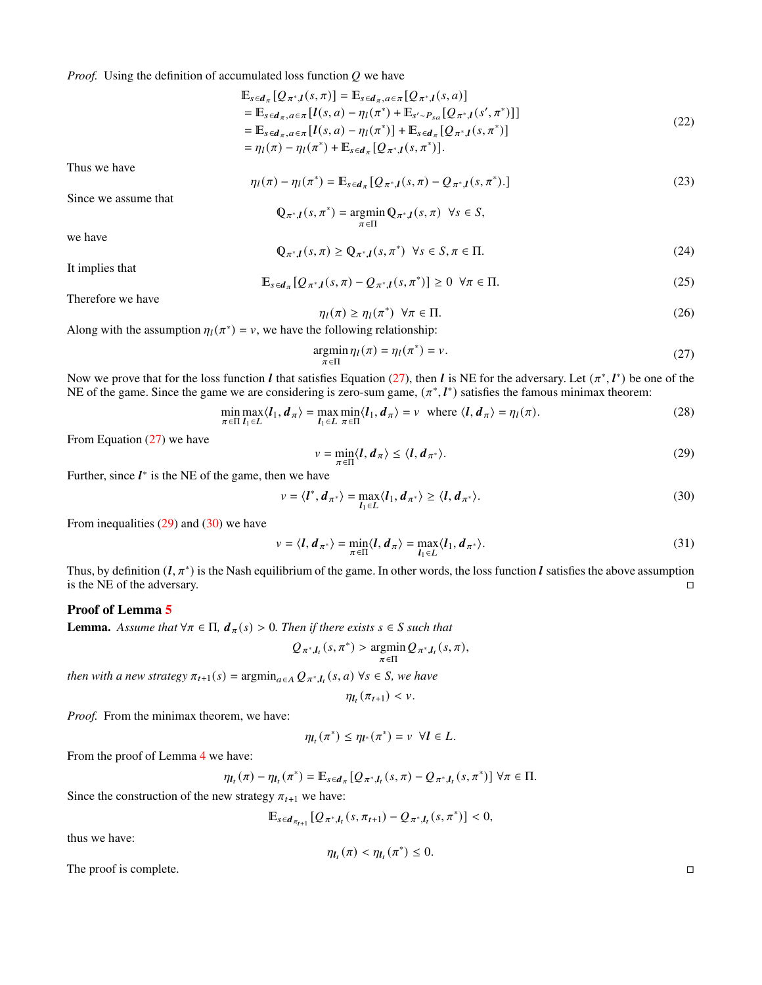*Proof.* Using the definition of accumulated loss function  $Q$  we have

$$
\mathbb{E}_{s \in d_{\pi}}[Q_{\pi^*,\mathbf{I}}(s,\pi)] = \mathbb{E}_{s \in d_{\pi},a \in \pi}[Q_{\pi^*,\mathbf{I}}(s,a)] \n= \mathbb{E}_{s \in d_{\pi},a \in \pi}[\mathbf{I}(s,a) - \eta_{\mathbf{I}}(\pi^*) + \mathbb{E}_{s' \sim P_{sa}}[Q_{\pi^*,\mathbf{I}}(s',\pi^*)]] \n= \mathbb{E}_{s \in d_{\pi},a \in \pi}[\mathbf{I}(s,a) - \eta_{\mathbf{I}}(\pi^*)] + \mathbb{E}_{s \in d_{\pi}}[Q_{\pi^*,\mathbf{I}}(s,\pi^*)] \n= \eta_{\mathbf{I}}(\pi) - \eta_{\mathbf{I}}(\pi^*) + \mathbb{E}_{s \in d_{\pi}}[Q_{\pi^*,\mathbf{I}}(s,\pi^*)].
$$
\n(22)

Thus we have

$$
\eta_l(\pi) - \eta_l(\pi^*) = \mathbb{E}_{s \in d_{\pi}}[Q_{\pi^*,l}(s,\pi) - Q_{\pi^*,l}(s,\pi^*).]
$$
\n(23)

Since we assume that

$$
\mathbb{Q}_{\pi^*,l}(s,\pi^*) = \operatorname*{argmin}_{\pi \in \Pi} \mathbb{Q}_{\pi^*,l}(s,\pi) \ \forall s \in S,
$$

we have

$$
\mathbb{Q}_{\pi^*,l}(s,\pi) \ge \mathbb{Q}_{\pi^*,l}(s,\pi^*) \quad \forall s \in S, \pi \in \Pi. \tag{24}
$$

It implies that

$$
\mathbb{E}_{s\in\mathbf{d}_{\pi}}[Q_{\pi^*,\mathbf{I}}(s,\pi)-Q_{\pi^*,\mathbf{I}}(s,\pi^*)] \geq 0 \quad \forall \pi \in \Pi. \tag{25}
$$

Therefore we have

<span id="page-17-0"></span>
$$
\eta_l(\pi) \ge \eta_l(\pi^*) \ \forall \pi \in \Pi. \tag{26}
$$

Along with the assumption  $\eta_l(\pi^*) = v$ , we have the following relationship:

$$
\underset{\pi \in \Pi}{\text{argmin}} \eta_l(\pi) = \eta_l(\pi^*) = \nu. \tag{27}
$$

Now we prove that for the loss function *l* that satisfies Equation [\(27\)](#page-17-0), then *l* is NE for the adversary. Let  $(\pi^*, l^*)$  be one of the NE of the game. Since the game we are considering is zero-sum game,  $(\pi^*, l^*)$  satisfies the famous minimax theorem:

<span id="page-17-1"></span>
$$
\min_{\pi \in \Pi} \max_{l_1 \in L} \langle l_1, d_{\pi} \rangle = \max_{l_1 \in L} \min_{\pi \in \Pi} \langle l_1, d_{\pi} \rangle = v \quad \text{where } \langle l, d_{\pi} \rangle = \eta_l(\pi). \tag{28}
$$

From Equation [\(27\)](#page-17-0) we have

<span id="page-17-2"></span>
$$
v = \min_{\pi \in \Pi} \langle l, d_{\pi} \rangle \le \langle l, d_{\pi^*} \rangle. \tag{29}
$$

Further, since  $l^*$  is the NE of the game, then we have

$$
v = \langle l^*, d_{\pi^*} \rangle = \max_{l_1 \in L} \langle l_1, d_{\pi^*} \rangle \ge \langle l, d_{\pi^*} \rangle. \tag{30}
$$

From inequalities  $(29)$  and  $(30)$  we have

$$
v = \langle \mathbf{I}, \mathbf{d}_{\pi^*} \rangle = \min_{\pi \in \Pi} \langle \mathbf{I}, \mathbf{d}_{\pi} \rangle = \max_{\mathbf{I}_1 \in L} \langle \mathbf{I}_1, \mathbf{d}_{\pi^*} \rangle.
$$
 (31)

Thus, by definition  $(l, \pi^*)$  is the Nash equilibrium of the game. In other words, the loss function  $l$  satisfies the above assumption is the NE of the adversary.

## Proof of Lemma [5](#page-6-2)

**Lemma.** Assume that  $\forall \pi \in \Pi$ ,  $d_{\pi}(s) > 0$ . Then if there exists  $s \in S$  such that

$$
Q_{\pi^*,I_t}(s,\pi^*)>\underset{\pi\in\Pi}{\text{argmin}}Q_{\pi^*,I_t}(s,\pi),
$$

*then with a new strategy*  $\pi_{t+1}(s) = \operatorname{argmin}_{a \in A} Q_{\pi^*, l_t}(s, a) \,\forall s \in S$ , we have

$$
\eta_{\boldsymbol{l}_t}(\pi_{t+1}) < \nu.
$$

*Proof.* From the minimax theorem, we have:

$$
\eta_{\boldsymbol{l}_t}(\pi^*) \leq \eta_{\boldsymbol{l}^*}(\pi^*) = \nu \ \forall \boldsymbol{l} \in L.
$$

From the proof of Lemma [4](#page-6-1) we have:

$$
\eta_{I_t}(\pi) - \eta_{I_t}(\pi^*) = \mathbb{E}_{s \in d_{\pi}}[Q_{\pi^*,I_t}(s,\pi) - Q_{\pi^*,I_t}(s,\pi^*)] \; \forall \pi \in \Pi.
$$

Since the construction of the new strategy  $\pi_{t+1}$  we have:

$$
\mathbb{E}_{s \in d_{\pi_{t+1}}} [Q_{\pi^*, l_t}(s, \pi_{t+1}) - Q_{\pi^*, l_t}(s, \pi^*)] < 0,
$$

thus we have:

$$
\eta_{\boldsymbol{l}_t}(\pi) < \eta_{\boldsymbol{l}_t}(\pi^*) \leq 0.
$$

The proof is complete.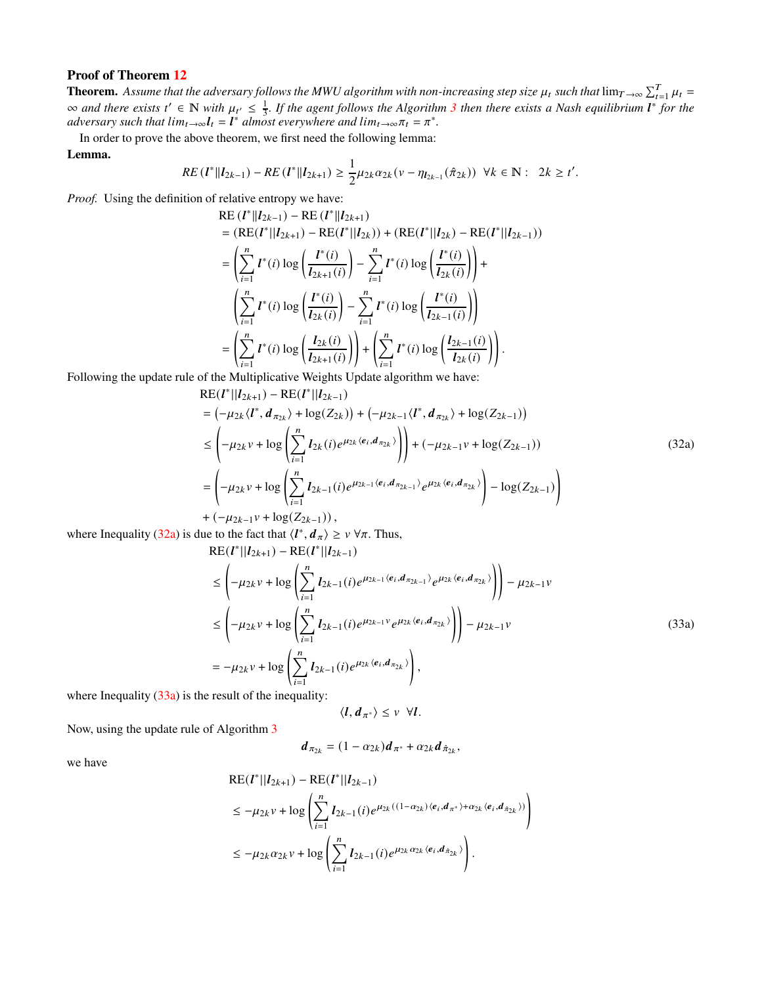**Theorem.** Assume that the adversary follows the MWU algorithm with non-increasing step size  $\mu_t$  such that  $\lim_{T\to\infty}\sum_{t=1}^T\mu_t=$ ∞ and there exists t' ∈ ℕ with  $\mu_{t'} \leq \frac{1}{3}$  $\mu_{t'} \leq \frac{1}{3}$  $\mu_{t'} \leq \frac{1}{3}$ . If the agent follows the Algorithm 3 then there exists a Nash equilibrium l<sup>\*</sup> for the *adversary such that*  $lim_{t\to\infty}l_t = l^*$  *almost everywhere and*  $lim_{t\to\infty}l_t = \pi^*$ .

In order to prove the above theorem, we first need the following lemma:

#### Lemma.

$$
RE\left(l^*\|l_{2k-1}\right)-RE\left(l^*\|l_{2k+1}\right)\geq \frac{1}{2}\mu_{2k}\alpha_{2k}\left(v-\eta_{l_{2k-1}}(\hat{\pi}_{2k})\right)\ \forall k\in\mathbb{N}:\ 2k\geq t'.
$$

*Proof.* Using the definition of relative entropy we have:

RE 
$$
(l^*||l_{2k-1})
$$
 - RE  $(l^*||l_{2k+1})$   
\n=  $(RE(l^*||l_{2k+1}) - RE(l^*||l_{2k})) + (RE(l^*||l_{2k}) - RE(l^*||l_{2k-1}))$   
\n=  $\left(\sum_{i=1}^n l^*(i) \log \left(\frac{l^*(i)}{l_{2k+1}(i)}\right) - \sum_{i=1}^n l^*(i) \log \left(\frac{l^*(i)}{l_{2k}(i)}\right)\right) +$   
\n $\left(\sum_{i=1}^n l^*(i) \log \left(\frac{l^*(i)}{l_{2k}(i)}\right) - \sum_{i=1}^n l^*(i) \log \left(\frac{l^*(i)}{l_{2k-1}(i)}\right)\right)$   
\n=  $\left(\sum_{i=1}^n l^*(i) \log \left(\frac{l_{2k}(i)}{l_{2k+1}(i)}\right)\right) + \left(\sum_{i=1}^n l^*(i) \log \left(\frac{l_{2k-1}(i)}{l_{2k}(i)}\right)\right).$ 

Following the update rule of the Multiplicative Weights Update algorithm we have:

$$
RE(I^*||I_{2k+1}) - RE(I^*||I_{2k-1})
$$
  
=  $(-\mu_{2k} \langle I^*, d_{\pi_{2k}} \rangle + \log(Z_{2k})) + (-\mu_{2k-1} \langle I^*, d_{\pi_{2k}} \rangle + \log(Z_{2k-1}))$   

$$
\leq \left( -\mu_{2k} \nu + \log \left( \sum_{i=1}^n I_{2k}(i) e^{\mu_{2k} \langle e_i, d_{\pi_{2k}} \rangle} \right) \right) + (-\mu_{2k-1} \nu + \log(Z_{2k-1}))
$$
  
=  $(-\mu_{2k} \nu + \log \left( \sum_{i=1}^n I_{2k-1}(i) e^{\mu_{2k-1} \langle e_i, d_{\pi_{2k-1}} \rangle} e^{\mu_{2k} \langle e_i, d_{\pi_{2k}} \rangle} \right) - \log(Z_{2k-1})$   
+  $(-\mu_{2k-1} \nu + \log(Z_{2k-1})),$  (32a)

where Inequality [\(32a\)](#page-19-0) is due to the fact that  $\langle l^*, d_\pi \rangle \ge \nu \,\forall \pi$ . Thus,

$$
RE(I^*||I_{2k+1}) - RE(I^*||I_{2k-1})
$$
  
\n
$$
\leq \left( -\mu_{2k} v + \log \left( \sum_{i=1}^n I_{2k-1}(i) e^{\mu_{2k-1} \langle e_i, d_{\pi_{2k-1}} \rangle} e^{\mu_{2k} \langle e_i, d_{\pi_{2k}} \rangle} \right) \right) - \mu_{2k-1} v
$$
  
\n
$$
\leq \left( -\mu_{2k} v + \log \left( \sum_{i=1}^n I_{2k-1}(i) e^{\mu_{2k-1} v} e^{\mu_{2k} \langle e_i, d_{\pi_{2k}} \rangle} \right) \right) - \mu_{2k-1} v
$$
  
\n
$$
= -\mu_{2k} v + \log \left( \sum_{i=1}^n I_{2k-1}(i) e^{\mu_{2k} \langle e_i, d_{\pi_{2k}} \rangle} \right),
$$
  
\n
$$
= \exp\left( \sum_{i=1}^n I_{2k-1}(i) e^{\mu_{2k} \langle e_i, d_{\pi_{2k}} \rangle} \right),
$$

where Inequality  $(33a)$  is the result of the inequality:

$$
\langle l, d_{\pi^*}\rangle \leq v \ \forall l.
$$

Now, using the update rule of Algorithm [3](#page-6-0)

$$
\boldsymbol{d}_{\pi_{2k}} = (1 - \alpha_{2k}) \boldsymbol{d}_{\pi^*} + \alpha_{2k} \boldsymbol{d}_{\hat{\pi}_{2k}},
$$

we have

$$
RE(I^*||I_{2k+1}) - RE(I^*||I_{2k-1})
$$
  
\n
$$
\leq -\mu_{2k}v + \log \left( \sum_{i=1}^n I_{2k-1}(i)e^{\mu_{2k}((1-\alpha_{2k})(e_i,d_{\pi^*})+\alpha_{2k}\langle e_i,d_{\hat{\pi}_{2k}}\rangle)} \right)
$$
  
\n
$$
\leq -\mu_{2k}\alpha_{2k}v + \log \left( \sum_{i=1}^n I_{2k-1}(i)e^{\mu_{2k}\alpha_{2k}\langle e_i,d_{\hat{\pi}_{2k}}\rangle} \right).
$$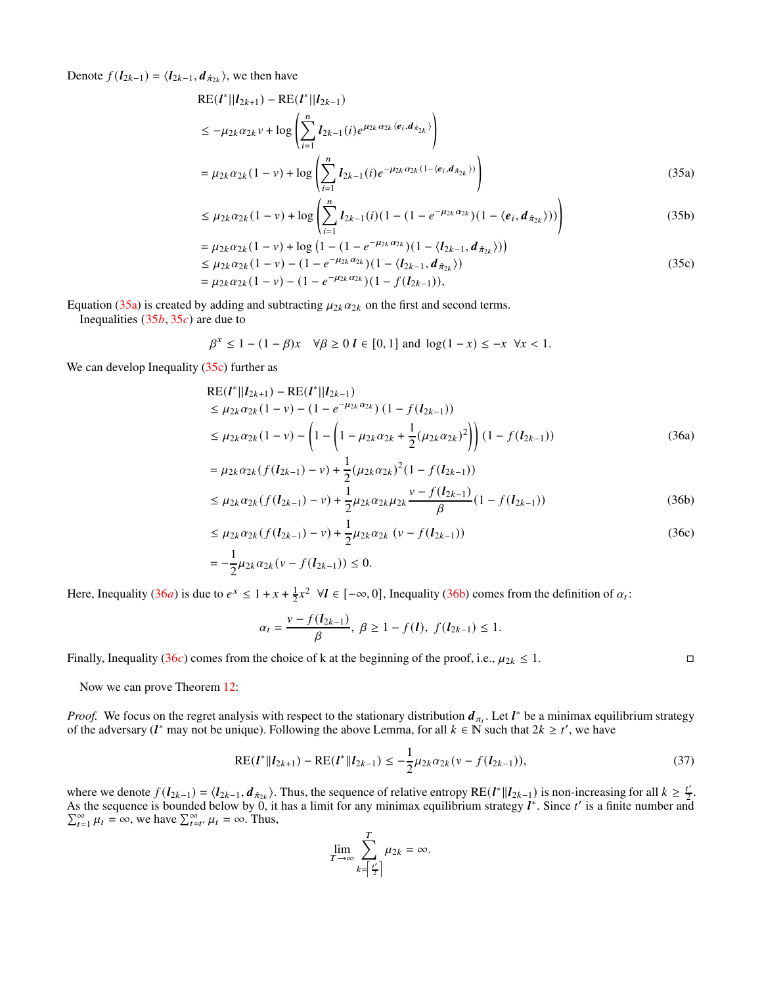Denote  $f(\mathbf{l}_{2k-1}) = \langle \mathbf{l}_{2k-1}, \mathbf{d}_{\hat{\pi}_{2k}} \rangle$ , we then have

$$
RE(I^*||I_{2k+1}) - RE(I^*||I_{2k-1})
$$
  
\n
$$
\leq -\mu_{2k}\alpha_{2k}v + \log\left(\sum_{i=1}^n I_{2k-1}(i)e^{\mu_{2k}\alpha_{2k}\langle e_i, d_{\hat{\pi}_{2k}}\rangle}\right)
$$
  
\n
$$
= \mu_{2k}\alpha_{2k}(1-v) + \log\left(\sum_{i=1}^n I_{2k-1}(i)e^{-\mu_{2k}\alpha_{2k}(1-\langle e_i, d_{\hat{\pi}_{2k}}\rangle)}\right)
$$
(35a)

$$
\leq \mu_{2k} \alpha_{2k} (1 - v) + \log \left( \sum_{i=1}^{n} l_{2k-1}(i) (1 - (1 - e^{-\mu_{2k} \alpha_{2k}}) (1 - \langle e_i, d_{\hat{\pi}_{2k}} \rangle)) \right) \tag{35b}
$$

$$
= \mu_{2k} \alpha_{2k} (1 - v) + \log (1 - (1 - e^{-\mu_{2k} \alpha_{2k}}) (1 - \langle l_{2k-1}, d_{\hat{\pi}_{2k}} \rangle))
$$
  
\n
$$
\leq \mu_{2k} \alpha_{2k} (1 - v) - (1 - e^{-\mu_{2k} \alpha_{2k}}) (1 - \langle l_{2k-1}, d_{\hat{\pi}_{2k}} \rangle)
$$
  
\n
$$
= \mu_{2k} \alpha_{2k} (1 - v) - (1 - e^{-\mu_{2k} \alpha_{2k}}) (1 - f(l_{2k-1})),
$$
\n(35c)

Equation [\(35a\)](#page-19-0) is created by adding and subtracting  $\mu_{2k} \alpha_{2k}$  on the first and second terms.

Inequalities  $(35b, 35c)$  $(35b, 35c)$  $(35b, 35c)$  are due to

$$
\beta^x \le 1 - (1 - \beta)x \quad \forall \beta \ge 0 \quad l \in [0, 1] \quad \text{and} \quad \log(1 - x) \le -x \quad \forall x < 1.
$$

We can develop Inequality [\(35c\)](#page-19-2) further as

RE(
$$
l^*||l_{2k+1}
$$
) – RE( $l^*||l_{2k-1}$ )  
\n $\leq \mu_{2k} \alpha_{2k} (1 - v) - (1 - e^{-\mu_{2k} \alpha_{2k}}) (1 - f(l_{2k-1}))$   
\n $\leq \mu_{2k} \alpha_{2k} (1 - v) - \left(1 - \left(1 - \mu_{2k} \alpha_{2k} + \frac{1}{2} (\mu_{2k} \alpha_{2k})^2\right)\right) (1 - f(l_{2k-1}))$  (36a)

$$
= \mu_{2k} \alpha_{2k} (f(l_{2k-1}) - v) + \frac{1}{2} (\mu_{2k} \alpha_{2k})^2 (1 - f(l_{2k-1}))
$$
  
\n
$$
\leq \mu_{2k} \alpha_{2k} (f(l_{2k-1}) - v) + \frac{1}{2} \mu_{2k} \alpha_{2k} \mu_{2k} \frac{v - f(l_{2k-1})}{\beta} (1 - f(l_{2k-1}))
$$
\n(36b)

$$
\leq \mu_{2k} \alpha_{2k} (f(\mathbf{l}_{2k-1}) - v) + \frac{1}{2} \mu_{2k} \alpha_{2k} (v - f(\mathbf{l}_{2k-1}))
$$
\n
$$
= -\frac{1}{2} \mu_{2k} \alpha_{2k} (v - f(\mathbf{l}_{2k-1})) \leq 0.
$$
\n(36c)

Here, Inequality ([36](#page-19-0)*a*) is due to  $e^x \leq 1 + x + \frac{1}{2}x^2 \ \forall l \in [-\infty, 0]$ , Inequality [\(36b\)](#page-19-1) comes from the definition of  $\alpha_l$ :

<span id="page-19-2"></span><span id="page-19-1"></span><span id="page-19-0"></span>
$$
\alpha_t = \frac{v - f(l_{2k-1})}{\beta}, \ \beta \ge 1 - f(l), \ f(l_{2k-1}) \le 1.
$$

Finally, Inequality ([36](#page-19-2) $c$ ) comes from the choice of k at the beginning of the proof, i.e.,  $\mu_{2k} \leq 1$ .

Now we can prove Theorem [12:](#page-6-3)

*Proof.* We focus on the regret analysis with respect to the stationary distribution  $d_{\pi_t}$ . Let  $l^*$  be a minimax equilibrium strategy of the adversary ( $l^*$  may not be unique). Following the above Lemma, for all  $k \in \mathbb{N}$  such that  $2k \ge t'$ , we have

$$
RE(I^*||I_{2k+1}) - RE(I^*||I_{2k-1}) \le -\frac{1}{2}\mu_{2k}\alpha_{2k}(\nu - f(I_{2k-1})),
$$
\n(37)

where we denote  $f(I_{2k-1}) = \langle I_{2k-1}, d_{\hat{\pi}_{2k}} \rangle$ . Thus, the sequence of relative entropy RE $(I^*||I_{2k-1})$  is non-increasing for all  $k \geq \frac{t'}{2}$ . As the sequence is bounded below by  $\hat{0}$ , it has a limit for any minimax equilibrium strategy  $\hat{l}^*$ . Since  $t'$  $\Sigma$ is a finite number and  $\sum_{t=1}^{\infty} \mu_t = \infty$ , we have  $\sum_{t=t'}^{\infty} \mu_t = \infty$ . Thus,

<span id="page-19-3"></span>
$$
\lim_{T \to \infty} \sum_{k=\left\lceil \frac{t'}{2} \right\rceil}^{T} \mu_{2k} = \infty.
$$